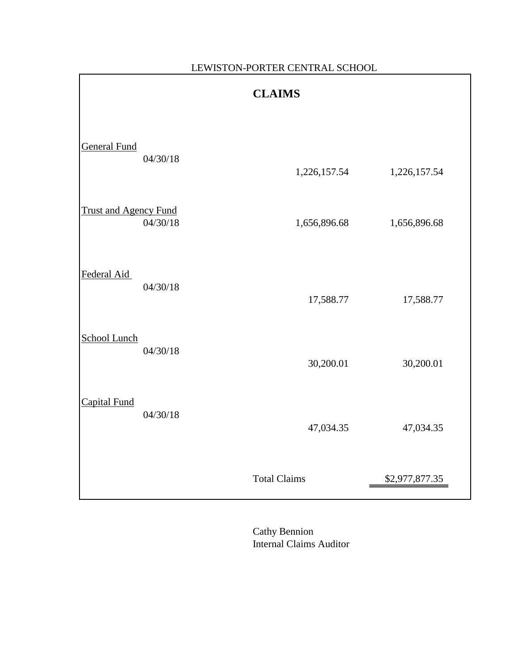# **CLAIMS** General Fund 04/30/18 1,226,157.54 1,226,157.54 Trust and Agency Fund 04/30/18 1,656,896.68 1,656,896.68 Federal Aid 04/30/18 17,588.77 17,588.77 School Lunch 04/30/18 30,200.01 30,200.01 Capital Fund 04/30/18 47,034.35 47,034.35 Total Claims \$2,977,877.35

LEWISTON-PORTER CENTRAL SCHOOL

Cathy Bennion Internal Claims Auditor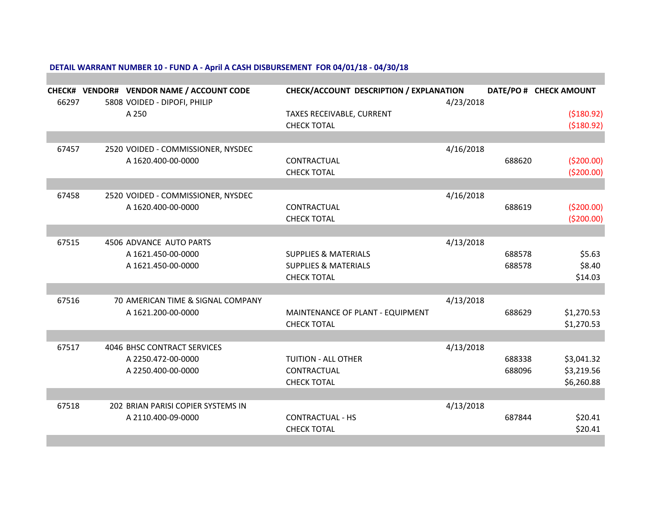|       | CHECK# VENDOR# VENDOR NAME / ACCOUNT CODE | CHECK/ACCOUNT DESCRIPTION / EXPLANATION |           |        | DATE/PO # CHECK AMOUNT |
|-------|-------------------------------------------|-----------------------------------------|-----------|--------|------------------------|
| 66297 | 5808 VOIDED - DIPOFI, PHILIP              |                                         | 4/23/2018 |        |                        |
|       | A 250                                     | TAXES RECEIVABLE, CURRENT               |           |        | (5180.92)              |
|       |                                           | <b>CHECK TOTAL</b>                      |           |        | (\$180.92)             |
|       |                                           |                                         |           |        |                        |
| 67457 | 2520 VOIDED - COMMISSIONER, NYSDEC        |                                         | 4/16/2018 |        |                        |
|       | A 1620.400-00-0000                        | CONTRACTUAL                             |           | 688620 | ( \$200.00)            |
|       |                                           | <b>CHECK TOTAL</b>                      |           |        | (5200.00)              |
|       |                                           |                                         |           |        |                        |
| 67458 | 2520 VOIDED - COMMISSIONER, NYSDEC        |                                         | 4/16/2018 |        |                        |
|       | A 1620.400-00-0000                        | CONTRACTUAL                             |           | 688619 | (5200.00)              |
|       |                                           | <b>CHECK TOTAL</b>                      |           |        | (\$200.00)             |
|       |                                           |                                         |           |        |                        |
| 67515 | 4506 ADVANCE AUTO PARTS                   |                                         | 4/13/2018 |        |                        |
|       | A 1621.450-00-0000                        | <b>SUPPLIES &amp; MATERIALS</b>         |           | 688578 | \$5.63                 |
|       | A 1621.450-00-0000                        | <b>SUPPLIES &amp; MATERIALS</b>         |           | 688578 | \$8.40                 |
|       |                                           | <b>CHECK TOTAL</b>                      |           |        | \$14.03                |
|       |                                           |                                         |           |        |                        |
| 67516 | 70 AMERICAN TIME & SIGNAL COMPANY         |                                         | 4/13/2018 |        |                        |
|       | A 1621.200-00-0000                        | MAINTENANCE OF PLANT - EQUIPMENT        |           | 688629 | \$1,270.53             |
|       |                                           | <b>CHECK TOTAL</b>                      |           |        | \$1,270.53             |
|       |                                           |                                         |           |        |                        |
| 67517 | 4046 BHSC CONTRACT SERVICES               |                                         | 4/13/2018 |        |                        |
|       | A 2250.472-00-0000                        | <b>TUITION - ALL OTHER</b>              |           | 688338 | \$3,041.32             |
|       | A 2250.400-00-0000                        | CONTRACTUAL                             |           | 688096 | \$3,219.56             |
|       |                                           | <b>CHECK TOTAL</b>                      |           |        | \$6,260.88             |
|       |                                           |                                         |           |        |                        |
| 67518 | 202 BRIAN PARISI COPIER SYSTEMS IN        |                                         | 4/13/2018 |        |                        |
|       | A 2110.400-09-0000                        | <b>CONTRACTUAL - HS</b>                 |           | 687844 | \$20.41                |
|       |                                           | <b>CHECK TOTAL</b>                      |           |        | \$20.41                |
|       |                                           |                                         |           |        |                        |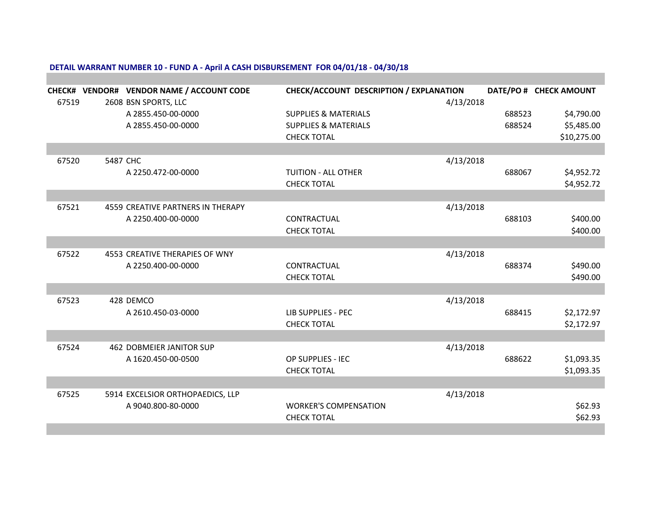|       | CHECK# VENDOR# VENDOR NAME / ACCOUNT CODE | CHECK/ACCOUNT DESCRIPTION / EXPLANATION |           |        | DATE/PO # CHECK AMOUNT |
|-------|-------------------------------------------|-----------------------------------------|-----------|--------|------------------------|
| 67519 | 2608 BSN SPORTS, LLC                      |                                         | 4/13/2018 |        |                        |
|       | A 2855.450-00-0000                        | <b>SUPPLIES &amp; MATERIALS</b>         |           | 688523 | \$4,790.00             |
|       | A 2855.450-00-0000                        | <b>SUPPLIES &amp; MATERIALS</b>         |           | 688524 | \$5,485.00             |
|       |                                           | <b>CHECK TOTAL</b>                      |           |        | \$10,275.00            |
|       |                                           |                                         |           |        |                        |
| 67520 | 5487 CHC                                  |                                         | 4/13/2018 |        |                        |
|       | A 2250.472-00-0000                        | <b>TUITION - ALL OTHER</b>              |           | 688067 | \$4,952.72             |
|       |                                           | <b>CHECK TOTAL</b>                      |           |        | \$4,952.72             |
|       |                                           |                                         |           |        |                        |
| 67521 | 4559 CREATIVE PARTNERS IN THERAPY         |                                         | 4/13/2018 |        |                        |
|       | A 2250.400-00-0000                        | CONTRACTUAL                             |           | 688103 | \$400.00               |
|       |                                           | <b>CHECK TOTAL</b>                      |           |        | \$400.00               |
|       |                                           |                                         |           |        |                        |
| 67522 | 4553 CREATIVE THERAPIES OF WNY            |                                         | 4/13/2018 |        |                        |
|       | A 2250.400-00-0000                        | CONTRACTUAL                             |           | 688374 | \$490.00               |
|       |                                           | <b>CHECK TOTAL</b>                      |           |        | \$490.00               |
|       |                                           |                                         |           |        |                        |
| 67523 | 428 DEMCO                                 |                                         | 4/13/2018 |        |                        |
|       | A 2610.450-03-0000                        | LIB SUPPLIES - PEC                      |           | 688415 | \$2,172.97             |
|       |                                           | <b>CHECK TOTAL</b>                      |           |        | \$2,172.97             |
|       |                                           |                                         |           |        |                        |
| 67524 | <b>462 DOBMEIER JANITOR SUP</b>           |                                         | 4/13/2018 |        |                        |
|       | A 1620.450-00-0500                        | OP SUPPLIES - IEC                       |           | 688622 | \$1,093.35             |
|       |                                           | <b>CHECK TOTAL</b>                      |           |        | \$1,093.35             |
|       |                                           |                                         |           |        |                        |
| 67525 | 5914 EXCELSIOR ORTHOPAEDICS, LLP          |                                         | 4/13/2018 |        |                        |
|       | A 9040.800-80-0000                        | <b>WORKER'S COMPENSATION</b>            |           |        | \$62.93                |
|       |                                           | <b>CHECK TOTAL</b>                      |           |        | \$62.93                |
|       |                                           |                                         |           |        |                        |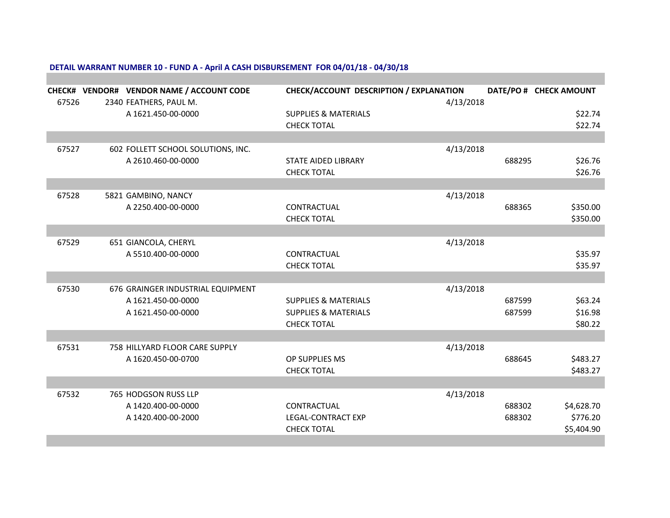|       |                    |                                                                                                                                                                                                                                                                                                                                                                                                                   |                                                                                                                                                                                                                                                          |                                         | DATE/PO # CHECK AMOUNT                                                                                                                    |
|-------|--------------------|-------------------------------------------------------------------------------------------------------------------------------------------------------------------------------------------------------------------------------------------------------------------------------------------------------------------------------------------------------------------------------------------------------------------|----------------------------------------------------------------------------------------------------------------------------------------------------------------------------------------------------------------------------------------------------------|-----------------------------------------|-------------------------------------------------------------------------------------------------------------------------------------------|
|       |                    |                                                                                                                                                                                                                                                                                                                                                                                                                   |                                                                                                                                                                                                                                                          |                                         | \$22.74                                                                                                                                   |
|       |                    |                                                                                                                                                                                                                                                                                                                                                                                                                   |                                                                                                                                                                                                                                                          |                                         | \$22.74                                                                                                                                   |
|       |                    |                                                                                                                                                                                                                                                                                                                                                                                                                   |                                                                                                                                                                                                                                                          |                                         |                                                                                                                                           |
|       |                    |                                                                                                                                                                                                                                                                                                                                                                                                                   |                                                                                                                                                                                                                                                          |                                         |                                                                                                                                           |
|       |                    |                                                                                                                                                                                                                                                                                                                                                                                                                   |                                                                                                                                                                                                                                                          |                                         | \$26.76                                                                                                                                   |
|       |                    |                                                                                                                                                                                                                                                                                                                                                                                                                   |                                                                                                                                                                                                                                                          |                                         |                                                                                                                                           |
|       |                    |                                                                                                                                                                                                                                                                                                                                                                                                                   |                                                                                                                                                                                                                                                          |                                         | \$26.76                                                                                                                                   |
|       |                    |                                                                                                                                                                                                                                                                                                                                                                                                                   |                                                                                                                                                                                                                                                          |                                         |                                                                                                                                           |
|       |                    |                                                                                                                                                                                                                                                                                                                                                                                                                   |                                                                                                                                                                                                                                                          |                                         |                                                                                                                                           |
|       |                    |                                                                                                                                                                                                                                                                                                                                                                                                                   |                                                                                                                                                                                                                                                          |                                         | \$350.00                                                                                                                                  |
|       |                    |                                                                                                                                                                                                                                                                                                                                                                                                                   |                                                                                                                                                                                                                                                          |                                         | \$350.00                                                                                                                                  |
|       |                    |                                                                                                                                                                                                                                                                                                                                                                                                                   |                                                                                                                                                                                                                                                          |                                         |                                                                                                                                           |
|       |                    |                                                                                                                                                                                                                                                                                                                                                                                                                   |                                                                                                                                                                                                                                                          |                                         |                                                                                                                                           |
|       |                    | CONTRACTUAL                                                                                                                                                                                                                                                                                                                                                                                                       |                                                                                                                                                                                                                                                          |                                         | \$35.97                                                                                                                                   |
|       |                    | <b>CHECK TOTAL</b>                                                                                                                                                                                                                                                                                                                                                                                                |                                                                                                                                                                                                                                                          |                                         | \$35.97                                                                                                                                   |
|       |                    |                                                                                                                                                                                                                                                                                                                                                                                                                   |                                                                                                                                                                                                                                                          |                                         |                                                                                                                                           |
|       |                    |                                                                                                                                                                                                                                                                                                                                                                                                                   |                                                                                                                                                                                                                                                          |                                         |                                                                                                                                           |
|       | A 1621.450-00-0000 | <b>SUPPLIES &amp; MATERIALS</b>                                                                                                                                                                                                                                                                                                                                                                                   |                                                                                                                                                                                                                                                          | 687599                                  | \$63.24                                                                                                                                   |
|       | A 1621.450-00-0000 | <b>SUPPLIES &amp; MATERIALS</b>                                                                                                                                                                                                                                                                                                                                                                                   |                                                                                                                                                                                                                                                          | 687599                                  | \$16.98                                                                                                                                   |
|       |                    | <b>CHECK TOTAL</b>                                                                                                                                                                                                                                                                                                                                                                                                |                                                                                                                                                                                                                                                          |                                         | \$80.22                                                                                                                                   |
|       |                    |                                                                                                                                                                                                                                                                                                                                                                                                                   |                                                                                                                                                                                                                                                          |                                         |                                                                                                                                           |
|       |                    |                                                                                                                                                                                                                                                                                                                                                                                                                   |                                                                                                                                                                                                                                                          |                                         |                                                                                                                                           |
|       |                    |                                                                                                                                                                                                                                                                                                                                                                                                                   |                                                                                                                                                                                                                                                          |                                         | \$483.27                                                                                                                                  |
|       |                    |                                                                                                                                                                                                                                                                                                                                                                                                                   |                                                                                                                                                                                                                                                          |                                         | \$483.27                                                                                                                                  |
|       |                    |                                                                                                                                                                                                                                                                                                                                                                                                                   |                                                                                                                                                                                                                                                          |                                         |                                                                                                                                           |
|       |                    |                                                                                                                                                                                                                                                                                                                                                                                                                   |                                                                                                                                                                                                                                                          |                                         |                                                                                                                                           |
|       |                    |                                                                                                                                                                                                                                                                                                                                                                                                                   |                                                                                                                                                                                                                                                          |                                         | \$4,628.70                                                                                                                                |
|       |                    |                                                                                                                                                                                                                                                                                                                                                                                                                   |                                                                                                                                                                                                                                                          |                                         | \$776.20                                                                                                                                  |
|       |                    |                                                                                                                                                                                                                                                                                                                                                                                                                   |                                                                                                                                                                                                                                                          |                                         | \$5,404.90                                                                                                                                |
|       |                    |                                                                                                                                                                                                                                                                                                                                                                                                                   |                                                                                                                                                                                                                                                          |                                         |                                                                                                                                           |
| 67526 |                    | CHECK# VENDOR# VENDOR NAME / ACCOUNT CODE<br>2340 FEATHERS, PAUL M.<br>A 1621.450-00-0000<br>602 FOLLETT SCHOOL SOLUTIONS, INC.<br>A 2610.460-00-0000<br>5821 GAMBINO, NANCY<br>A 2250.400-00-0000<br>651 GIANCOLA, CHERYL<br>A 5510.400-00-0000<br>676 GRAINGER INDUSTRIAL EQUIPMENT<br>758 HILLYARD FLOOR CARE SUPPLY<br>A 1620.450-00-0700<br>765 HODGSON RUSS LLP<br>A 1420.400-00-0000<br>A 1420.400-00-2000 | <b>SUPPLIES &amp; MATERIALS</b><br><b>CHECK TOTAL</b><br><b>STATE AIDED LIBRARY</b><br><b>CHECK TOTAL</b><br>CONTRACTUAL<br><b>CHECK TOTAL</b><br>OP SUPPLIES MS<br><b>CHECK TOTAL</b><br>CONTRACTUAL<br><b>LEGAL-CONTRACT EXP</b><br><b>CHECK TOTAL</b> | CHECK/ACCOUNT DESCRIPTION / EXPLANATION | 4/13/2018<br>4/13/2018<br>688295<br>4/13/2018<br>688365<br>4/13/2018<br>4/13/2018<br>4/13/2018<br>688645<br>4/13/2018<br>688302<br>688302 |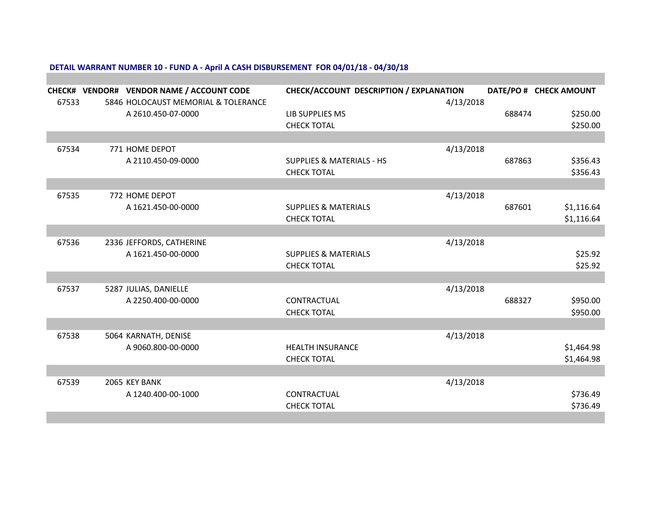| 67533 | CHECK# VENDOR# VENDOR NAME / ACCOUNT CODE<br>5846 HOLOCAUST MEMORIAL & TOLERANCE | CHECK/ACCOUNT DESCRIPTION / EXPLANATION | 4/13/2018 |        | DATE/PO # CHECK AMOUNT |
|-------|----------------------------------------------------------------------------------|-----------------------------------------|-----------|--------|------------------------|
|       | A 2610.450-07-0000                                                               | LIB SUPPLIES MS                         |           | 688474 | \$250.00               |
|       |                                                                                  | <b>CHECK TOTAL</b>                      |           |        | \$250.00               |
|       |                                                                                  |                                         |           |        |                        |
| 67534 | 771 HOME DEPOT                                                                   |                                         | 4/13/2018 |        |                        |
|       | A 2110.450-09-0000                                                               | <b>SUPPLIES &amp; MATERIALS - HS</b>    |           | 687863 | \$356.43               |
|       |                                                                                  | <b>CHECK TOTAL</b>                      |           |        | \$356.43               |
|       |                                                                                  |                                         |           |        |                        |
| 67535 | 772 HOME DEPOT                                                                   |                                         | 4/13/2018 |        |                        |
|       | A 1621.450-00-0000                                                               | <b>SUPPLIES &amp; MATERIALS</b>         |           | 687601 | \$1,116.64             |
|       |                                                                                  | <b>CHECK TOTAL</b>                      |           |        | \$1,116.64             |
|       |                                                                                  |                                         |           |        |                        |
| 67536 | 2336 JEFFORDS, CATHERINE                                                         |                                         | 4/13/2018 |        |                        |
|       | A 1621.450-00-0000                                                               | <b>SUPPLIES &amp; MATERIALS</b>         |           |        | \$25.92                |
|       |                                                                                  |                                         |           |        |                        |
|       |                                                                                  | <b>CHECK TOTAL</b>                      |           |        | \$25.92                |
|       |                                                                                  |                                         |           |        |                        |
| 67537 | 5287 JULIAS, DANIELLE                                                            |                                         | 4/13/2018 |        |                        |
|       | A 2250.400-00-0000                                                               | CONTRACTUAL                             |           | 688327 | \$950.00               |
|       |                                                                                  | <b>CHECK TOTAL</b>                      |           |        | \$950.00               |
|       |                                                                                  |                                         |           |        |                        |
| 67538 | 5064 KARNATH, DENISE                                                             |                                         | 4/13/2018 |        |                        |
|       | A 9060.800-00-0000                                                               | <b>HEALTH INSURANCE</b>                 |           |        | \$1,464.98             |
|       |                                                                                  | <b>CHECK TOTAL</b>                      |           |        | \$1,464.98             |
|       |                                                                                  |                                         |           |        |                        |
| 67539 | 2065 KEY BANK                                                                    |                                         | 4/13/2018 |        |                        |
|       | A 1240.400-00-1000                                                               | CONTRACTUAL                             |           |        | \$736.49               |
|       |                                                                                  | <b>CHECK TOTAL</b>                      |           |        | \$736.49               |
|       |                                                                                  |                                         |           |        |                        |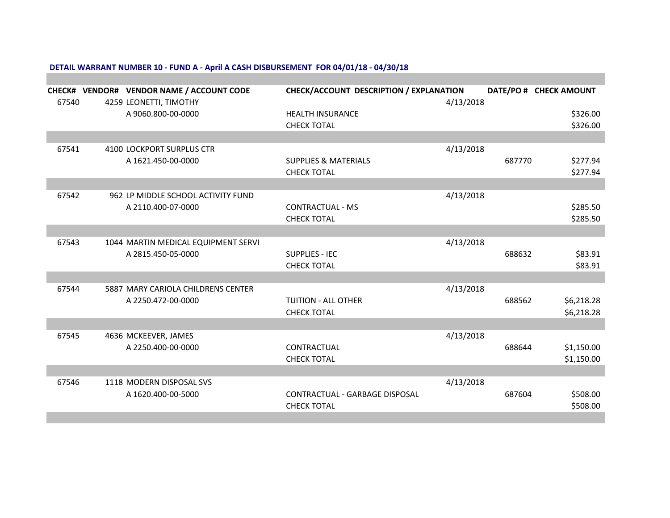|       | CHECK# VENDOR# VENDOR NAME / ACCOUNT CODE | CHECK/ACCOUNT DESCRIPTION / EXPLANATION |           |        | DATE/PO # CHECK AMOUNT |
|-------|-------------------------------------------|-----------------------------------------|-----------|--------|------------------------|
| 67540 | 4259 LEONETTI, TIMOTHY                    |                                         | 4/13/2018 |        |                        |
|       | A 9060.800-00-0000                        | <b>HEALTH INSURANCE</b>                 |           |        | \$326.00               |
|       |                                           | <b>CHECK TOTAL</b>                      |           |        | \$326.00               |
|       |                                           |                                         |           |        |                        |
| 67541 | 4100 LOCKPORT SURPLUS CTR                 |                                         | 4/13/2018 |        |                        |
|       | A 1621.450-00-0000                        | <b>SUPPLIES &amp; MATERIALS</b>         |           | 687770 | \$277.94               |
|       |                                           | <b>CHECK TOTAL</b>                      |           |        | \$277.94               |
|       |                                           |                                         |           |        |                        |
| 67542 | 962 LP MIDDLE SCHOOL ACTIVITY FUND        |                                         | 4/13/2018 |        |                        |
|       | A 2110.400-07-0000                        | <b>CONTRACTUAL - MS</b>                 |           |        | \$285.50               |
|       |                                           | <b>CHECK TOTAL</b>                      |           |        | \$285.50               |
|       |                                           |                                         |           |        |                        |
| 67543 | 1044 MARTIN MEDICAL EQUIPMENT SERVI       |                                         | 4/13/2018 |        |                        |
|       | A 2815.450-05-0000                        | <b>SUPPLIES - IEC</b>                   |           | 688632 | \$83.91                |
|       |                                           | <b>CHECK TOTAL</b>                      |           |        | \$83.91                |
|       |                                           |                                         |           |        |                        |
| 67544 | 5887 MARY CARIOLA CHILDRENS CENTER        |                                         | 4/13/2018 |        |                        |
|       | A 2250.472-00-0000                        | <b>TUITION - ALL OTHER</b>              |           | 688562 | \$6,218.28             |
|       |                                           | <b>CHECK TOTAL</b>                      |           |        | \$6,218.28             |
|       |                                           |                                         |           |        |                        |
| 67545 | 4636 MCKEEVER, JAMES                      |                                         | 4/13/2018 |        |                        |
|       | A 2250.400-00-0000                        | CONTRACTUAL                             |           | 688644 | \$1,150.00             |
|       |                                           | <b>CHECK TOTAL</b>                      |           |        | \$1,150.00             |
|       |                                           |                                         |           |        |                        |
| 67546 | 1118 MODERN DISPOSAL SVS                  |                                         | 4/13/2018 |        |                        |
|       | A 1620.400-00-5000                        | CONTRACTUAL - GARBAGE DISPOSAL          |           | 687604 | \$508.00               |
|       |                                           | <b>CHECK TOTAL</b>                      |           |        | \$508.00               |
|       |                                           |                                         |           |        |                        |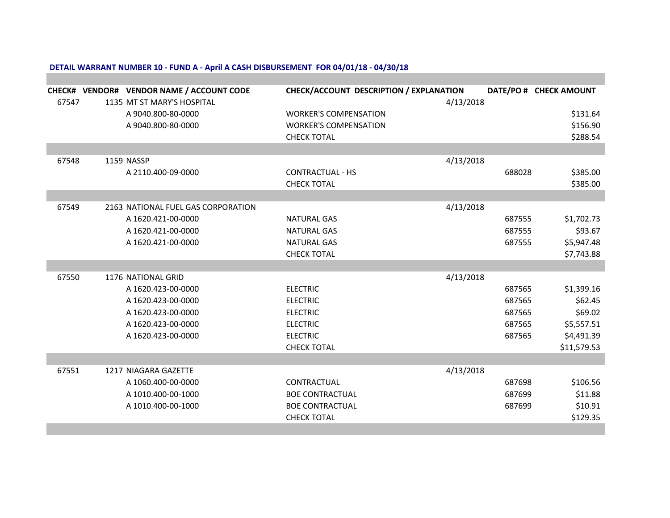|       | CHECK# VENDOR# VENDOR NAME / ACCOUNT CODE | CHECK/ACCOUNT DESCRIPTION / EXPLANATION |           |        | DATE/PO # CHECK AMOUNT |
|-------|-------------------------------------------|-----------------------------------------|-----------|--------|------------------------|
| 67547 | 1135 MT ST MARY'S HOSPITAL                |                                         | 4/13/2018 |        |                        |
|       | A 9040.800-80-0000                        | <b>WORKER'S COMPENSATION</b>            |           |        | \$131.64               |
|       | A 9040.800-80-0000                        | <b>WORKER'S COMPENSATION</b>            |           |        | \$156.90               |
|       |                                           | <b>CHECK TOTAL</b>                      |           |        | \$288.54               |
|       |                                           |                                         |           |        |                        |
| 67548 | 1159 NASSP                                |                                         | 4/13/2018 |        |                        |
|       | A 2110.400-09-0000                        | <b>CONTRACTUAL - HS</b>                 |           | 688028 | \$385.00               |
|       |                                           | <b>CHECK TOTAL</b>                      |           |        | \$385.00               |
|       |                                           |                                         |           |        |                        |
| 67549 | 2163 NATIONAL FUEL GAS CORPORATION        |                                         | 4/13/2018 |        |                        |
|       | A 1620.421-00-0000                        | <b>NATURAL GAS</b>                      |           | 687555 | \$1,702.73             |
|       | A 1620.421-00-0000                        | <b>NATURAL GAS</b>                      |           | 687555 | \$93.67                |
|       | A 1620.421-00-0000                        | <b>NATURAL GAS</b>                      |           | 687555 | \$5,947.48             |
|       |                                           | <b>CHECK TOTAL</b>                      |           |        | \$7,743.88             |
|       |                                           |                                         |           |        |                        |
| 67550 | 1176 NATIONAL GRID                        |                                         | 4/13/2018 |        |                        |
|       | A 1620.423-00-0000                        | <b>ELECTRIC</b>                         |           | 687565 | \$1,399.16             |
|       | A 1620.423-00-0000                        | <b>ELECTRIC</b>                         |           | 687565 | \$62.45                |
|       | A 1620.423-00-0000                        | <b>ELECTRIC</b>                         |           | 687565 | \$69.02                |
|       | A 1620.423-00-0000                        | <b>ELECTRIC</b>                         |           | 687565 | \$5,557.51             |
|       | A 1620.423-00-0000                        | <b>ELECTRIC</b>                         |           | 687565 | \$4,491.39             |
|       |                                           | <b>CHECK TOTAL</b>                      |           |        | \$11,579.53            |
|       |                                           |                                         |           |        |                        |
| 67551 | 1217 NIAGARA GAZETTE                      |                                         | 4/13/2018 |        |                        |
|       | A 1060.400-00-0000                        | CONTRACTUAL                             |           | 687698 | \$106.56               |
|       | A 1010.400-00-1000                        | <b>BOE CONTRACTUAL</b>                  |           | 687699 | \$11.88                |
|       | A 1010.400-00-1000                        | <b>BOE CONTRACTUAL</b>                  |           | 687699 | \$10.91                |
|       |                                           | <b>CHECK TOTAL</b>                      |           |        | \$129.35               |
|       |                                           |                                         |           |        |                        |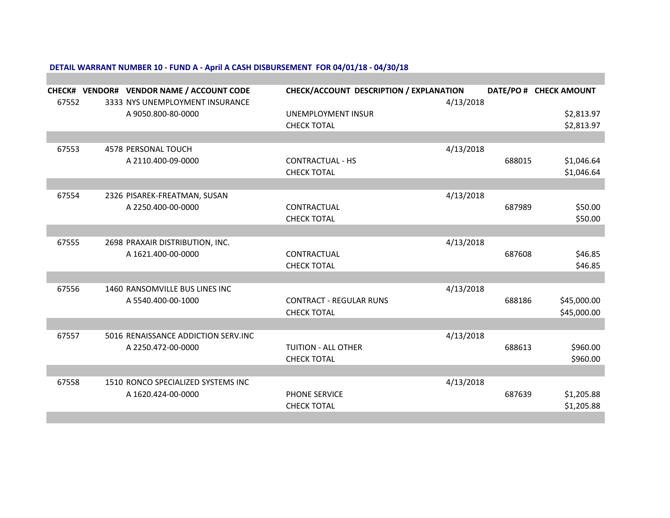| 67552 | CHECK# VENDOR# VENDOR NAME / ACCOUNT CODE<br>3333 NYS UNEMPLOYMENT INSURANCE | CHECK/ACCOUNT DESCRIPTION / EXPLANATION | 4/13/2018 |        | DATE/PO # CHECK AMOUNT |
|-------|------------------------------------------------------------------------------|-----------------------------------------|-----------|--------|------------------------|
|       |                                                                              |                                         |           |        |                        |
|       | A 9050.800-80-0000                                                           | <b>UNEMPLOYMENT INSUR</b>               |           |        | \$2,813.97             |
|       |                                                                              | <b>CHECK TOTAL</b>                      |           |        | \$2,813.97             |
|       |                                                                              |                                         |           |        |                        |
| 67553 | 4578 PERSONAL TOUCH                                                          |                                         | 4/13/2018 |        |                        |
|       | A 2110.400-09-0000                                                           | <b>CONTRACTUAL - HS</b>                 |           | 688015 | \$1,046.64             |
|       |                                                                              | <b>CHECK TOTAL</b>                      |           |        | \$1,046.64             |
|       |                                                                              |                                         |           |        |                        |
| 67554 | 2326 PISAREK-FREATMAN, SUSAN                                                 |                                         | 4/13/2018 |        |                        |
|       | A 2250.400-00-0000                                                           | CONTRACTUAL                             |           | 687989 | \$50.00                |
|       |                                                                              | <b>CHECK TOTAL</b>                      |           |        | \$50.00                |
|       |                                                                              |                                         |           |        |                        |
|       |                                                                              |                                         |           |        |                        |
| 67555 | 2698 PRAXAIR DISTRIBUTION, INC.                                              |                                         | 4/13/2018 |        |                        |
|       | A 1621.400-00-0000                                                           | CONTRACTUAL                             |           | 687608 | \$46.85                |
|       |                                                                              | <b>CHECK TOTAL</b>                      |           |        | \$46.85                |
|       |                                                                              |                                         |           |        |                        |
| 67556 | 1460 RANSOMVILLE BUS LINES INC                                               |                                         | 4/13/2018 |        |                        |
|       | A 5540.400-00-1000                                                           | <b>CONTRACT - REGULAR RUNS</b>          |           | 688186 | \$45,000.00            |
|       |                                                                              | <b>CHECK TOTAL</b>                      |           |        | \$45,000.00            |
|       |                                                                              |                                         |           |        |                        |
| 67557 | 5016 RENAISSANCE ADDICTION SERV.INC                                          |                                         | 4/13/2018 |        |                        |
|       | A 2250.472-00-0000                                                           | <b>TUITION - ALL OTHER</b>              |           | 688613 | \$960.00               |
|       |                                                                              | <b>CHECK TOTAL</b>                      |           |        | \$960.00               |
|       |                                                                              |                                         |           |        |                        |
|       |                                                                              |                                         |           |        |                        |
| 67558 | 1510 RONCO SPECIALIZED SYSTEMS INC                                           |                                         | 4/13/2018 |        |                        |
|       | A 1620.424-00-0000                                                           | PHONE SERVICE                           |           | 687639 | \$1,205.88             |
|       |                                                                              | <b>CHECK TOTAL</b>                      |           |        | \$1,205.88             |
|       |                                                                              |                                         |           |        |                        |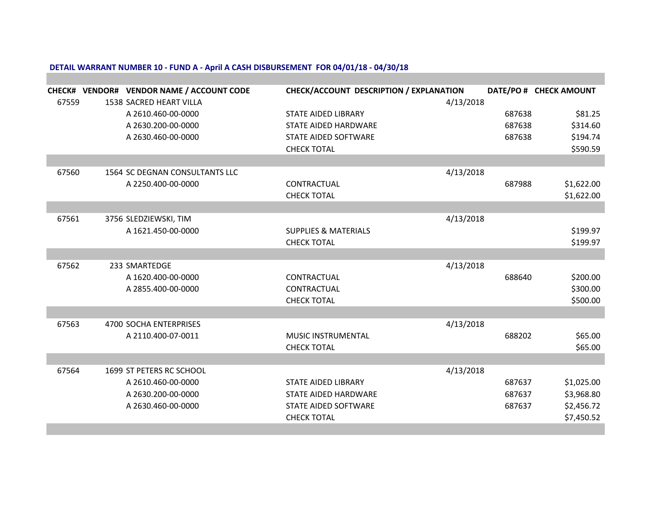|       | CHECK# VENDOR# VENDOR NAME / ACCOUNT CODE | CHECK/ACCOUNT DESCRIPTION / EXPLANATION |           |        | DATE/PO # CHECK AMOUNT |
|-------|-------------------------------------------|-----------------------------------------|-----------|--------|------------------------|
| 67559 | 1538 SACRED HEART VILLA                   |                                         | 4/13/2018 |        |                        |
|       | A 2610.460-00-0000                        | <b>STATE AIDED LIBRARY</b>              |           | 687638 | \$81.25                |
|       | A 2630.200-00-0000                        | <b>STATE AIDED HARDWARE</b>             |           | 687638 | \$314.60               |
|       | A 2630.460-00-0000                        | STATE AIDED SOFTWARE                    |           | 687638 | \$194.74               |
|       |                                           | <b>CHECK TOTAL</b>                      |           |        | \$590.59               |
|       |                                           |                                         |           |        |                        |
| 67560 | 1564 SC DEGNAN CONSULTANTS LLC            |                                         | 4/13/2018 |        |                        |
|       | A 2250.400-00-0000                        | CONTRACTUAL                             |           | 687988 | \$1,622.00             |
|       |                                           | <b>CHECK TOTAL</b>                      |           |        | \$1,622.00             |
|       |                                           |                                         |           |        |                        |
| 67561 | 3756 SLEDZIEWSKI, TIM                     |                                         | 4/13/2018 |        |                        |
|       | A 1621.450-00-0000                        | <b>SUPPLIES &amp; MATERIALS</b>         |           |        | \$199.97               |
|       |                                           | <b>CHECK TOTAL</b>                      |           |        | \$199.97               |
|       |                                           |                                         |           |        |                        |
| 67562 | 233 SMARTEDGE                             |                                         | 4/13/2018 |        |                        |
|       | A 1620.400-00-0000                        | CONTRACTUAL                             |           | 688640 | \$200.00               |
|       | A 2855.400-00-0000                        | CONTRACTUAL                             |           |        | \$300.00               |
|       |                                           | <b>CHECK TOTAL</b>                      |           |        | \$500.00               |
|       |                                           |                                         |           |        |                        |
| 67563 | <b>4700 SOCHA ENTERPRISES</b>             |                                         | 4/13/2018 |        |                        |
|       | A 2110.400-07-0011                        | MUSIC INSTRUMENTAL                      |           | 688202 | \$65.00                |
|       |                                           | <b>CHECK TOTAL</b>                      |           |        | \$65.00                |
|       |                                           |                                         |           |        |                        |
| 67564 | 1699 ST PETERS RC SCHOOL                  |                                         | 4/13/2018 |        |                        |
|       | A 2610.460-00-0000                        | <b>STATE AIDED LIBRARY</b>              |           | 687637 | \$1,025.00             |
|       | A 2630.200-00-0000                        | <b>STATE AIDED HARDWARE</b>             |           | 687637 | \$3,968.80             |
|       | A 2630.460-00-0000                        | STATE AIDED SOFTWARE                    |           | 687637 | \$2,456.72             |
|       |                                           | <b>CHECK TOTAL</b>                      |           |        | \$7,450.52             |
|       |                                           |                                         |           |        |                        |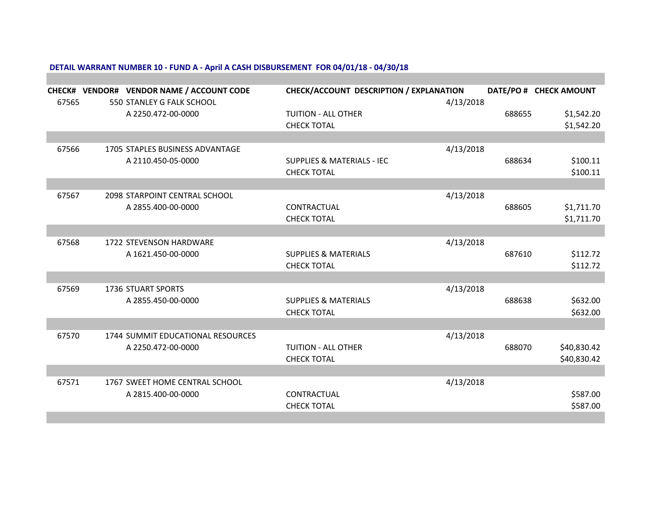|       | CHECK# VENDOR# VENDOR NAME / ACCOUNT CODE | CHECK/ACCOUNT DESCRIPTION / EXPLANATION |           |        | DATE/PO # CHECK AMOUNT |
|-------|-------------------------------------------|-----------------------------------------|-----------|--------|------------------------|
| 67565 | 550 STANLEY G FALK SCHOOL                 |                                         | 4/13/2018 |        |                        |
|       | A 2250.472-00-0000                        | <b>TUITION - ALL OTHER</b>              |           | 688655 | \$1,542.20             |
|       |                                           | <b>CHECK TOTAL</b>                      |           |        | \$1,542.20             |
|       |                                           |                                         |           |        |                        |
| 67566 | 1705 STAPLES BUSINESS ADVANTAGE           |                                         | 4/13/2018 |        |                        |
|       | A 2110.450-05-0000                        | <b>SUPPLIES &amp; MATERIALS - IEC</b>   |           | 688634 | \$100.11               |
|       |                                           | <b>CHECK TOTAL</b>                      |           |        | \$100.11               |
|       |                                           |                                         |           |        |                        |
| 67567 | 2098 STARPOINT CENTRAL SCHOOL             |                                         | 4/13/2018 |        |                        |
|       | A 2855.400-00-0000                        | CONTRACTUAL                             |           | 688605 | \$1,711.70             |
|       |                                           | <b>CHECK TOTAL</b>                      |           |        | \$1,711.70             |
|       |                                           |                                         |           |        |                        |
| 67568 | 1722 STEVENSON HARDWARE                   |                                         | 4/13/2018 |        |                        |
|       | A 1621.450-00-0000                        | <b>SUPPLIES &amp; MATERIALS</b>         |           | 687610 | \$112.72               |
|       |                                           | <b>CHECK TOTAL</b>                      |           |        | \$112.72               |
|       |                                           |                                         |           |        |                        |
| 67569 | 1736 STUART SPORTS                        |                                         | 4/13/2018 |        |                        |
|       | A 2855.450-00-0000                        | <b>SUPPLIES &amp; MATERIALS</b>         |           | 688638 | \$632.00               |
|       |                                           | <b>CHECK TOTAL</b>                      |           |        | \$632.00               |
|       |                                           |                                         |           |        |                        |
| 67570 | 1744 SUMMIT EDUCATIONAL RESOURCES         |                                         | 4/13/2018 |        |                        |
|       | A 2250.472-00-0000                        | <b>TUITION - ALL OTHER</b>              |           | 688070 | \$40,830.42            |
|       |                                           | <b>CHECK TOTAL</b>                      |           |        | \$40,830.42            |
|       |                                           |                                         |           |        |                        |
| 67571 | 1767 SWEET HOME CENTRAL SCHOOL            |                                         | 4/13/2018 |        |                        |
|       | A 2815.400-00-0000                        | CONTRACTUAL                             |           |        | \$587.00               |
|       |                                           | <b>CHECK TOTAL</b>                      |           |        | \$587.00               |
|       |                                           |                                         |           |        |                        |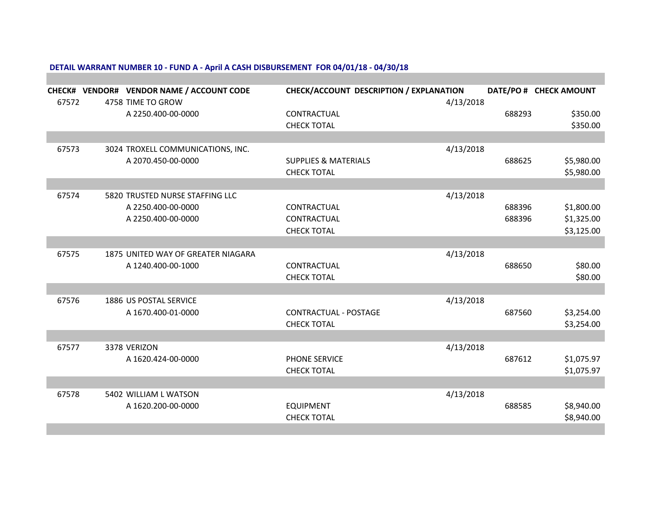|       | CHECK# VENDOR# VENDOR NAME / ACCOUNT CODE | CHECK/ACCOUNT DESCRIPTION / EXPLANATION |           |        | DATE/PO # CHECK AMOUNT |
|-------|-------------------------------------------|-----------------------------------------|-----------|--------|------------------------|
| 67572 | 4758 TIME TO GROW                         |                                         | 4/13/2018 |        |                        |
|       | A 2250.400-00-0000                        | CONTRACTUAL                             |           | 688293 | \$350.00               |
|       |                                           | <b>CHECK TOTAL</b>                      |           |        | \$350.00               |
|       |                                           |                                         |           |        |                        |
| 67573 | 3024 TROXELL COMMUNICATIONS, INC.         |                                         | 4/13/2018 |        |                        |
|       | A 2070.450-00-0000                        | <b>SUPPLIES &amp; MATERIALS</b>         |           | 688625 | \$5,980.00             |
|       |                                           | <b>CHECK TOTAL</b>                      |           |        | \$5,980.00             |
|       |                                           |                                         |           |        |                        |
| 67574 | 5820 TRUSTED NURSE STAFFING LLC           |                                         | 4/13/2018 |        |                        |
|       | A 2250.400-00-0000                        | CONTRACTUAL                             |           | 688396 | \$1,800.00             |
|       | A 2250.400-00-0000                        | CONTRACTUAL                             |           | 688396 | \$1,325.00             |
|       |                                           | <b>CHECK TOTAL</b>                      |           |        | \$3,125.00             |
|       |                                           |                                         |           |        |                        |
| 67575 | 1875 UNITED WAY OF GREATER NIAGARA        |                                         | 4/13/2018 |        |                        |
|       | A 1240.400-00-1000                        | CONTRACTUAL                             |           | 688650 | \$80.00                |
|       |                                           | <b>CHECK TOTAL</b>                      |           |        | \$80.00                |
|       |                                           |                                         |           |        |                        |
| 67576 | 1886 US POSTAL SERVICE                    |                                         | 4/13/2018 |        |                        |
|       | A 1670.400-01-0000                        | CONTRACTUAL - POSTAGE                   |           | 687560 | \$3,254.00             |
|       |                                           | <b>CHECK TOTAL</b>                      |           |        | \$3,254.00             |
|       |                                           |                                         |           |        |                        |
| 67577 | 3378 VERIZON                              |                                         | 4/13/2018 |        |                        |
|       | A 1620.424-00-0000                        | PHONE SERVICE                           |           | 687612 | \$1,075.97             |
|       |                                           | <b>CHECK TOTAL</b>                      |           |        | \$1,075.97             |
|       |                                           |                                         |           |        |                        |
| 67578 | 5402 WILLIAM L WATSON                     |                                         | 4/13/2018 |        |                        |
|       | A 1620.200-00-0000                        | <b>EQUIPMENT</b>                        |           | 688585 | \$8,940.00             |
|       |                                           | <b>CHECK TOTAL</b>                      |           |        | \$8,940.00             |
|       |                                           |                                         |           |        |                        |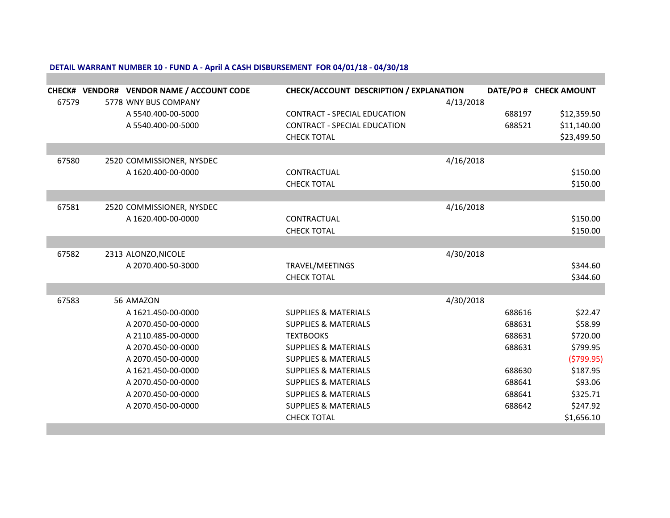|  | DETAIL WARRANT NUMBER 10 - FUND A - April A CASH DISBURSEMENT FOR 04/01/18 - 04/30/18 |  |  |
|--|---------------------------------------------------------------------------------------|--|--|
|--|---------------------------------------------------------------------------------------|--|--|

|       | CHECK# VENDOR# VENDOR NAME / ACCOUNT CODE | CHECK/ACCOUNT DESCRIPTION / EXPLANATION |           |        | DATE/PO # CHECK AMOUNT |
|-------|-------------------------------------------|-----------------------------------------|-----------|--------|------------------------|
| 67579 | 5778 WNY BUS COMPANY                      |                                         | 4/13/2018 |        |                        |
|       | A 5540.400-00-5000                        | <b>CONTRACT - SPECIAL EDUCATION</b>     |           | 688197 | \$12,359.50            |
|       | A 5540.400-00-5000                        | <b>CONTRACT - SPECIAL EDUCATION</b>     |           | 688521 | \$11,140.00            |
|       |                                           | <b>CHECK TOTAL</b>                      |           |        | \$23,499.50            |
|       |                                           |                                         |           |        |                        |
| 67580 | 2520 COMMISSIONER, NYSDEC                 |                                         | 4/16/2018 |        |                        |
|       | A 1620.400-00-0000                        | CONTRACTUAL                             |           |        | \$150.00               |
|       |                                           | <b>CHECK TOTAL</b>                      |           |        | \$150.00               |
|       |                                           |                                         |           |        |                        |
| 67581 | 2520 COMMISSIONER, NYSDEC                 |                                         | 4/16/2018 |        |                        |
|       | A 1620.400-00-0000                        | CONTRACTUAL                             |           |        | \$150.00               |
|       |                                           | <b>CHECK TOTAL</b>                      |           |        | \$150.00               |
|       |                                           |                                         |           |        |                        |
| 67582 | 2313 ALONZO, NICOLE                       |                                         | 4/30/2018 |        |                        |
|       | A 2070.400-50-3000                        | <b>TRAVEL/MEETINGS</b>                  |           |        | \$344.60               |
|       |                                           | <b>CHECK TOTAL</b>                      |           |        | \$344.60               |
|       |                                           |                                         |           |        |                        |
| 67583 | 56 AMAZON                                 |                                         | 4/30/2018 |        |                        |
|       | A 1621.450-00-0000                        | <b>SUPPLIES &amp; MATERIALS</b>         |           | 688616 | \$22.47                |
|       | A 2070.450-00-0000                        | <b>SUPPLIES &amp; MATERIALS</b>         |           | 688631 | \$58.99                |
|       | A 2110.485-00-0000                        | <b>TEXTBOOKS</b>                        |           | 688631 | \$720.00               |
|       | A 2070.450-00-0000                        | <b>SUPPLIES &amp; MATERIALS</b>         |           | 688631 | \$799.95               |
|       | A 2070.450-00-0000                        | <b>SUPPLIES &amp; MATERIALS</b>         |           |        | (5799.95)              |
|       | A 1621.450-00-0000                        | <b>SUPPLIES &amp; MATERIALS</b>         |           | 688630 | \$187.95               |
|       | A 2070.450-00-0000                        | <b>SUPPLIES &amp; MATERIALS</b>         |           | 688641 | \$93.06                |
|       | A 2070.450-00-0000                        | <b>SUPPLIES &amp; MATERIALS</b>         |           | 688641 | \$325.71               |
|       | A 2070.450-00-0000                        | <b>SUPPLIES &amp; MATERIALS</b>         |           | 688642 | \$247.92               |
|       |                                           | <b>CHECK TOTAL</b>                      |           |        | \$1,656.10             |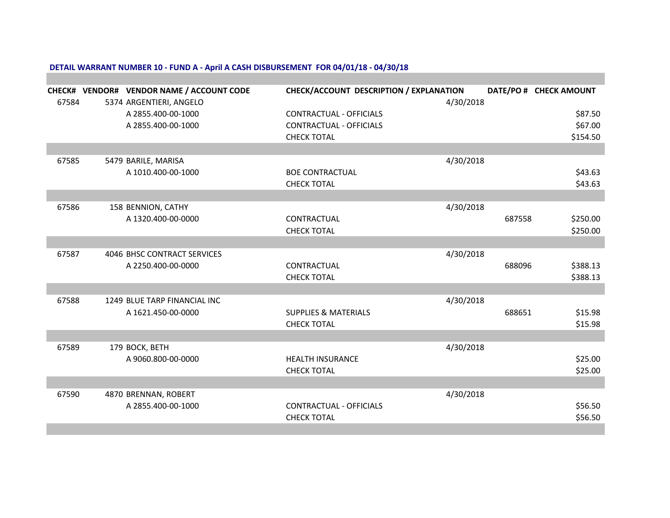|       | CHECK# VENDOR# VENDOR NAME / ACCOUNT CODE | CHECK/ACCOUNT DESCRIPTION / EXPLANATION |           |        | DATE/PO # CHECK AMOUNT |
|-------|-------------------------------------------|-----------------------------------------|-----------|--------|------------------------|
| 67584 | 5374 ARGENTIERI, ANGELO                   |                                         | 4/30/2018 |        |                        |
|       | A 2855.400-00-1000                        | <b>CONTRACTUAL - OFFICIALS</b>          |           |        | \$87.50                |
|       | A 2855.400-00-1000                        | <b>CONTRACTUAL - OFFICIALS</b>          |           |        | \$67.00                |
|       |                                           | <b>CHECK TOTAL</b>                      |           |        | \$154.50               |
|       |                                           |                                         |           |        |                        |
| 67585 | 5479 BARILE, MARISA                       |                                         | 4/30/2018 |        |                        |
|       | A 1010.400-00-1000                        | <b>BOE CONTRACTUAL</b>                  |           |        | \$43.63                |
|       |                                           | <b>CHECK TOTAL</b>                      |           |        | \$43.63                |
|       |                                           |                                         |           |        |                        |
| 67586 | 158 BENNION, CATHY                        |                                         | 4/30/2018 |        |                        |
|       | A 1320.400-00-0000                        | CONTRACTUAL                             |           | 687558 | \$250.00               |
|       |                                           | <b>CHECK TOTAL</b>                      |           |        | \$250.00               |
|       |                                           |                                         |           |        |                        |
| 67587 | 4046 BHSC CONTRACT SERVICES               |                                         | 4/30/2018 |        |                        |
|       | A 2250.400-00-0000                        | CONTRACTUAL                             |           | 688096 | \$388.13               |
|       |                                           | <b>CHECK TOTAL</b>                      |           |        | \$388.13               |
|       |                                           |                                         |           |        |                        |
| 67588 | 1249 BLUE TARP FINANCIAL INC              |                                         | 4/30/2018 |        |                        |
|       | A 1621.450-00-0000                        | <b>SUPPLIES &amp; MATERIALS</b>         |           | 688651 | \$15.98                |
|       |                                           | <b>CHECK TOTAL</b>                      |           |        | \$15.98                |
|       |                                           |                                         |           |        |                        |
| 67589 | 179 BOCK, BETH                            |                                         | 4/30/2018 |        |                        |
|       | A 9060.800-00-0000                        | <b>HEALTH INSURANCE</b>                 |           |        | \$25.00                |
|       |                                           | <b>CHECK TOTAL</b>                      |           |        | \$25.00                |
|       |                                           |                                         |           |        |                        |
| 67590 | 4870 BRENNAN, ROBERT                      |                                         | 4/30/2018 |        |                        |
|       | A 2855.400-00-1000                        | <b>CONTRACTUAL - OFFICIALS</b>          |           |        | \$56.50                |
|       |                                           | <b>CHECK TOTAL</b>                      |           |        | \$56.50                |
|       |                                           |                                         |           |        |                        |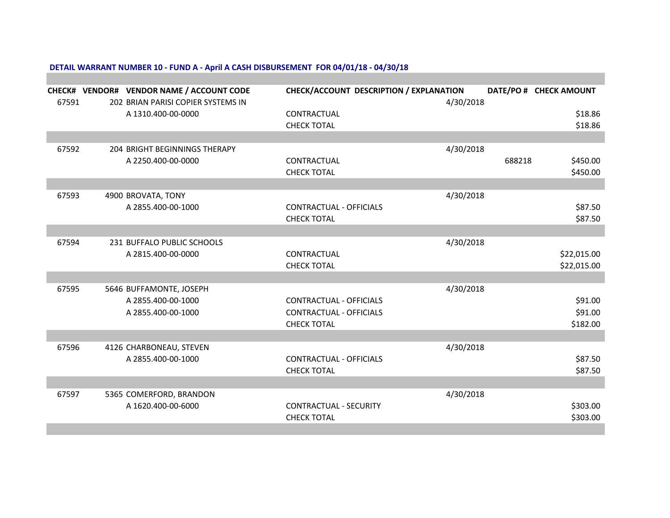| DETAIL WARRANT NUMBER 10 - FUND A - April A CASH DISBURSEMENT FOR 04/01/18 - 04/30/18 |  |  |
|---------------------------------------------------------------------------------------|--|--|
|---------------------------------------------------------------------------------------|--|--|

|       | CHECK# VENDOR# VENDOR NAME / ACCOUNT CODE | CHECK/ACCOUNT DESCRIPTION / EXPLANATION |           |        | DATE/PO # CHECK AMOUNT |
|-------|-------------------------------------------|-----------------------------------------|-----------|--------|------------------------|
| 67591 | 202 BRIAN PARISI COPIER SYSTEMS IN        |                                         | 4/30/2018 |        |                        |
|       | A 1310.400-00-0000                        | CONTRACTUAL                             |           |        | \$18.86                |
|       |                                           | <b>CHECK TOTAL</b>                      |           |        | \$18.86                |
|       |                                           |                                         |           |        |                        |
| 67592 | <b>204 BRIGHT BEGINNINGS THERAPY</b>      |                                         | 4/30/2018 |        |                        |
|       |                                           |                                         |           |        |                        |
|       | A 2250.400-00-0000                        | CONTRACTUAL                             |           | 688218 | \$450.00               |
|       |                                           | <b>CHECK TOTAL</b>                      |           |        | \$450.00               |
|       |                                           |                                         |           |        |                        |
| 67593 | 4900 BROVATA, TONY                        |                                         | 4/30/2018 |        |                        |
|       | A 2855.400-00-1000                        | <b>CONTRACTUAL - OFFICIALS</b>          |           |        | \$87.50                |
|       |                                           | <b>CHECK TOTAL</b>                      |           |        | \$87.50                |
|       |                                           |                                         |           |        |                        |
| 67594 | 231 BUFFALO PUBLIC SCHOOLS                |                                         | 4/30/2018 |        |                        |
|       | A 2815.400-00-0000                        | CONTRACTUAL                             |           |        | \$22,015.00            |
|       |                                           | <b>CHECK TOTAL</b>                      |           |        | \$22,015.00            |
|       |                                           |                                         |           |        |                        |
| 67595 | 5646 BUFFAMONTE, JOSEPH                   |                                         | 4/30/2018 |        |                        |
|       | A 2855.400-00-1000                        | <b>CONTRACTUAL - OFFICIALS</b>          |           |        | \$91.00                |
|       | A 2855.400-00-1000                        | <b>CONTRACTUAL - OFFICIALS</b>          |           |        | \$91.00                |
|       |                                           | <b>CHECK TOTAL</b>                      |           |        | \$182.00               |
|       |                                           |                                         |           |        |                        |
| 67596 | 4126 CHARBONEAU, STEVEN                   |                                         | 4/30/2018 |        |                        |
|       | A 2855.400-00-1000                        | <b>CONTRACTUAL - OFFICIALS</b>          |           |        | \$87.50                |
|       |                                           | <b>CHECK TOTAL</b>                      |           |        | \$87.50                |
|       |                                           |                                         |           |        |                        |
| 67597 | 5365 COMERFORD, BRANDON                   |                                         | 4/30/2018 |        |                        |
|       | A 1620.400-00-6000                        | <b>CONTRACTUAL - SECURITY</b>           |           |        | \$303.00               |
|       |                                           | <b>CHECK TOTAL</b>                      |           |        | \$303.00               |
|       |                                           |                                         |           |        |                        |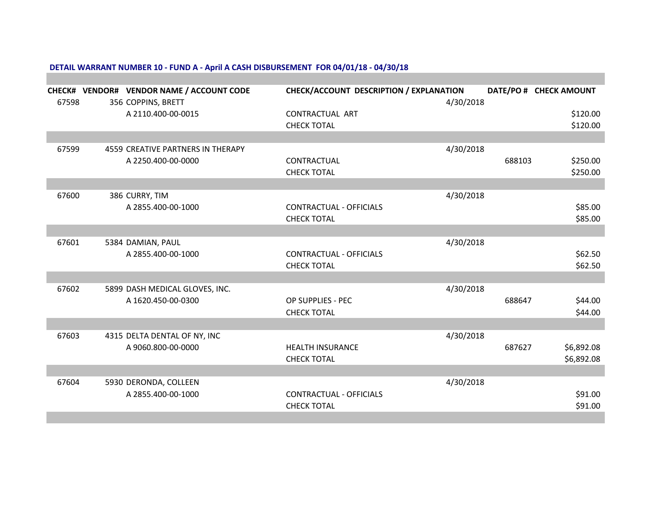|       |                                           | <u> DETAIL WANNANT NUMBEN IU - FUND A - ADIII A CASH DISBUNSEMIENT FÜN 04/01/16 - 04/30/16</u> |                        |
|-------|-------------------------------------------|------------------------------------------------------------------------------------------------|------------------------|
|       |                                           |                                                                                                |                        |
|       |                                           |                                                                                                |                        |
|       | CHECK# VENDOR# VENDOR NAME / ACCOUNT CODE | CHECK/ACCOUNT DESCRIPTION / EXPLANATION                                                        | DATE/PO # CHECK AMOUNT |
|       |                                           |                                                                                                |                        |
| 67598 | 356 COPPINS RRETT                         | 4/30/2018                                                                                      |                        |

| 67598 | 356 COPPINS, BRETT                |                                | 4/30/2018 |        |            |
|-------|-----------------------------------|--------------------------------|-----------|--------|------------|
|       | A 2110.400-00-0015                | <b>CONTRACTUAL ART</b>         |           |        | \$120.00   |
|       |                                   | <b>CHECK TOTAL</b>             |           |        | \$120.00   |
|       |                                   |                                |           |        |            |
| 67599 | 4559 CREATIVE PARTNERS IN THERAPY |                                | 4/30/2018 |        |            |
|       | A 2250.400-00-0000                | CONTRACTUAL                    |           | 688103 | \$250.00   |
|       |                                   | <b>CHECK TOTAL</b>             |           |        | \$250.00   |
|       |                                   |                                |           |        |            |
| 67600 | 386 CURRY, TIM                    |                                | 4/30/2018 |        |            |
|       | A 2855.400-00-1000                | <b>CONTRACTUAL - OFFICIALS</b> |           |        | \$85.00    |
|       |                                   | <b>CHECK TOTAL</b>             |           |        | \$85.00    |
|       |                                   |                                |           |        |            |
| 67601 | 5384 DAMIAN, PAUL                 |                                | 4/30/2018 |        |            |
|       | A 2855.400-00-1000                | <b>CONTRACTUAL - OFFICIALS</b> |           |        | \$62.50    |
|       |                                   | <b>CHECK TOTAL</b>             |           |        | \$62.50    |
|       |                                   |                                |           |        |            |
| 67602 | 5899 DASH MEDICAL GLOVES, INC.    |                                | 4/30/2018 |        |            |
|       | A 1620.450-00-0300                | OP SUPPLIES - PEC              |           | 688647 | \$44.00    |
|       |                                   | <b>CHECK TOTAL</b>             |           |        | \$44.00    |
|       |                                   |                                |           |        |            |
| 67603 | 4315 DELTA DENTAL OF NY, INC      |                                | 4/30/2018 |        |            |
|       | A 9060.800-00-0000                | <b>HEALTH INSURANCE</b>        |           | 687627 | \$6,892.08 |
|       |                                   | <b>CHECK TOTAL</b>             |           |        | \$6,892.08 |
|       |                                   |                                |           |        |            |
| 67604 | 5930 DERONDA, COLLEEN             |                                | 4/30/2018 |        |            |
|       | A 2855.400-00-1000                | <b>CONTRACTUAL - OFFICIALS</b> |           |        | \$91.00    |
|       |                                   | <b>CHECK TOTAL</b>             |           |        | \$91.00    |
|       |                                   |                                |           |        |            |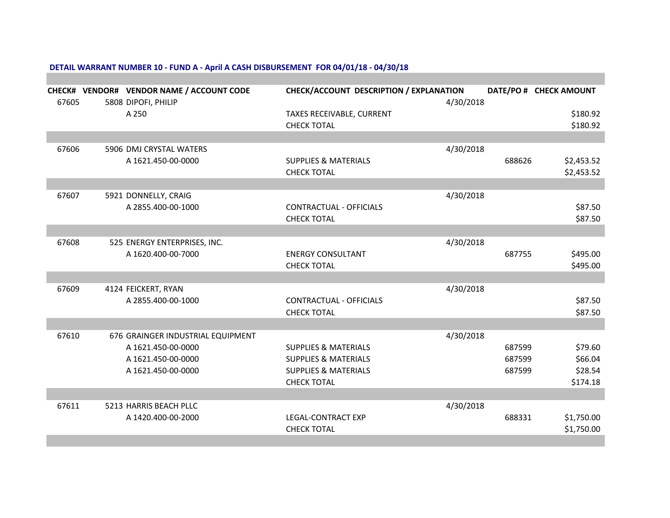| 67605 | CHECK# VENDOR# VENDOR NAME / ACCOUNT CODE<br>5808 DIPOFI, PHILIP | CHECK/ACCOUNT DESCRIPTION / EXPLANATION         | 4/30/2018 |        | DATE/PO # CHECK AMOUNT |
|-------|------------------------------------------------------------------|-------------------------------------------------|-----------|--------|------------------------|
|       | A 250                                                            | TAXES RECEIVABLE, CURRENT<br><b>CHECK TOTAL</b> |           |        | \$180.92<br>\$180.92   |
|       |                                                                  |                                                 |           |        |                        |
| 67606 | 5906 DMJ CRYSTAL WATERS                                          |                                                 | 4/30/2018 |        |                        |
|       | A 1621.450-00-0000                                               | <b>SUPPLIES &amp; MATERIALS</b>                 |           | 688626 | \$2,453.52             |
|       |                                                                  | <b>CHECK TOTAL</b>                              |           |        | \$2,453.52             |
|       |                                                                  |                                                 |           |        |                        |
| 67607 | 5921 DONNELLY, CRAIG                                             |                                                 | 4/30/2018 |        |                        |
|       | A 2855.400-00-1000                                               | <b>CONTRACTUAL - OFFICIALS</b>                  |           |        | \$87.50                |
|       |                                                                  | <b>CHECK TOTAL</b>                              |           |        | \$87.50                |
|       |                                                                  |                                                 |           |        |                        |
| 67608 | 525 ENERGY ENTERPRISES, INC.                                     |                                                 | 4/30/2018 |        |                        |
|       | A 1620.400-00-7000                                               | <b>ENERGY CONSULTANT</b>                        |           | 687755 | \$495.00               |
|       |                                                                  | <b>CHECK TOTAL</b>                              |           |        | \$495.00               |
|       |                                                                  |                                                 |           |        |                        |
| 67609 | 4124 FEICKERT, RYAN<br>A 2855.400-00-1000                        | <b>CONTRACTUAL - OFFICIALS</b>                  | 4/30/2018 |        | \$87.50                |
|       |                                                                  | <b>CHECK TOTAL</b>                              |           |        | \$87.50                |
|       |                                                                  |                                                 |           |        |                        |
| 67610 | 676 GRAINGER INDUSTRIAL EQUIPMENT                                |                                                 | 4/30/2018 |        |                        |
|       | A 1621.450-00-0000                                               | <b>SUPPLIES &amp; MATERIALS</b>                 |           | 687599 | \$79.60                |
|       | A 1621.450-00-0000                                               | <b>SUPPLIES &amp; MATERIALS</b>                 |           | 687599 | \$66.04                |
|       | A 1621.450-00-0000                                               | <b>SUPPLIES &amp; MATERIALS</b>                 |           | 687599 | \$28.54                |
|       |                                                                  | <b>CHECK TOTAL</b>                              |           |        | \$174.18               |
|       |                                                                  |                                                 |           |        |                        |
| 67611 | 5213 HARRIS BEACH PLLC                                           |                                                 | 4/30/2018 |        |                        |
|       | A 1420.400-00-2000                                               | <b>LEGAL-CONTRACT EXP</b>                       |           | 688331 | \$1,750.00             |
|       |                                                                  | <b>CHECK TOTAL</b>                              |           |        | \$1,750.00             |
|       |                                                                  |                                                 |           |        |                        |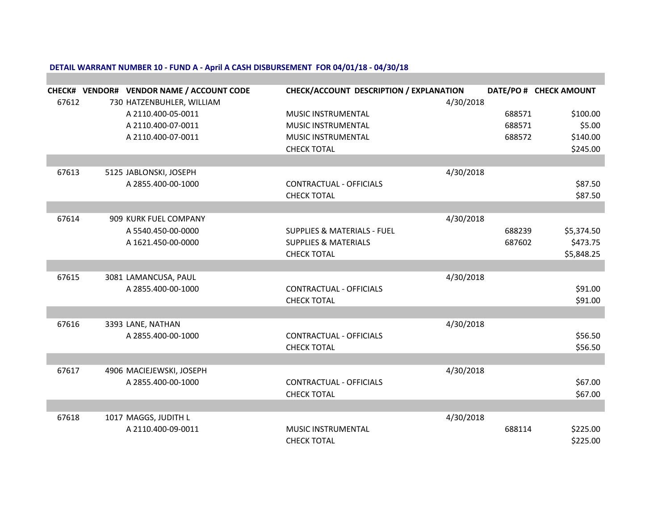|       | CHECK# VENDOR# VENDOR NAME / ACCOUNT CODE | CHECK/ACCOUNT DESCRIPTION / EXPLANATION |           |        | DATE/PO # CHECK AMOUNT |
|-------|-------------------------------------------|-----------------------------------------|-----------|--------|------------------------|
| 67612 | 730 HATZENBUHLER, WILLIAM                 |                                         | 4/30/2018 |        |                        |
|       | A 2110.400-05-0011                        | MUSIC INSTRUMENTAL                      |           | 688571 | \$100.00               |
|       | A 2110.400-07-0011                        | MUSIC INSTRUMENTAL                      |           | 688571 | \$5.00                 |
|       | A 2110.400-07-0011                        | MUSIC INSTRUMENTAL                      |           | 688572 | \$140.00               |
|       |                                           | <b>CHECK TOTAL</b>                      |           |        | \$245.00               |
|       |                                           |                                         |           |        |                        |
| 67613 | 5125 JABLONSKI, JOSEPH                    |                                         | 4/30/2018 |        |                        |
|       | A 2855.400-00-1000                        | <b>CONTRACTUAL - OFFICIALS</b>          |           |        | \$87.50                |
|       |                                           | <b>CHECK TOTAL</b>                      |           |        | \$87.50                |
|       |                                           |                                         |           |        |                        |
| 67614 | 909 KURK FUEL COMPANY                     |                                         | 4/30/2018 |        |                        |
|       | A 5540.450-00-0000                        | <b>SUPPLIES &amp; MATERIALS - FUEL</b>  |           | 688239 | \$5,374.50             |
|       | A 1621.450-00-0000                        | <b>SUPPLIES &amp; MATERIALS</b>         |           | 687602 | \$473.75               |
|       |                                           | <b>CHECK TOTAL</b>                      |           |        | \$5,848.25             |
|       |                                           |                                         |           |        |                        |
| 67615 | 3081 LAMANCUSA, PAUL                      |                                         | 4/30/2018 |        |                        |
|       | A 2855.400-00-1000                        | <b>CONTRACTUAL - OFFICIALS</b>          |           |        | \$91.00                |
|       |                                           | <b>CHECK TOTAL</b>                      |           |        | \$91.00                |
|       |                                           |                                         |           |        |                        |
| 67616 | 3393 LANE, NATHAN                         |                                         | 4/30/2018 |        |                        |
|       | A 2855.400-00-1000                        | <b>CONTRACTUAL - OFFICIALS</b>          |           |        | \$56.50                |
|       |                                           | <b>CHECK TOTAL</b>                      |           |        | \$56.50                |
|       |                                           |                                         |           |        |                        |
| 67617 | 4906 MACIEJEWSKI, JOSEPH                  |                                         | 4/30/2018 |        |                        |
|       | A 2855.400-00-1000                        | <b>CONTRACTUAL - OFFICIALS</b>          |           |        | \$67.00                |
|       |                                           | <b>CHECK TOTAL</b>                      |           |        | \$67.00                |
|       |                                           |                                         |           |        |                        |
| 67618 | 1017 MAGGS, JUDITH L                      |                                         | 4/30/2018 |        |                        |
|       | A 2110.400-09-0011                        | MUSIC INSTRUMENTAL                      |           | 688114 | \$225.00               |
|       |                                           | <b>CHECK TOTAL</b>                      |           |        | \$225.00               |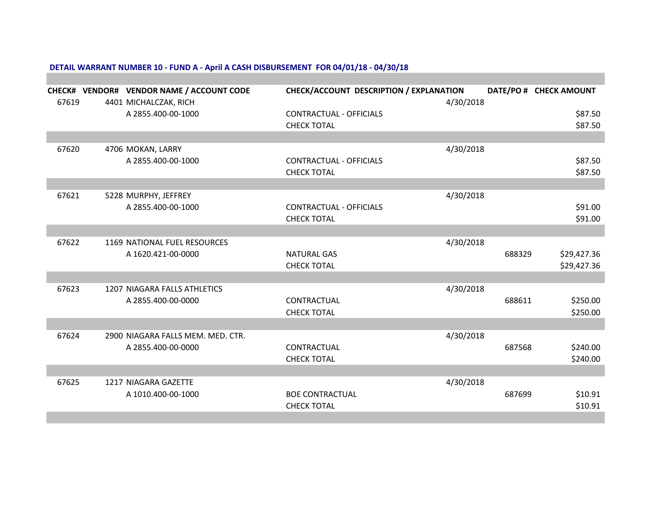|       | CHECK# VENDOR# VENDOR NAME / ACCOUNT CODE | CHECK/ACCOUNT DESCRIPTION / EXPLANATION |           |        | DATE/PO # CHECK AMOUNT |
|-------|-------------------------------------------|-----------------------------------------|-----------|--------|------------------------|
| 67619 | 4401 MICHALCZAK, RICH                     |                                         | 4/30/2018 |        |                        |
|       | A 2855.400-00-1000                        | <b>CONTRACTUAL - OFFICIALS</b>          |           |        | \$87.50                |
|       |                                           | <b>CHECK TOTAL</b>                      |           |        | \$87.50                |
|       |                                           |                                         |           |        |                        |
| 67620 | 4706 MOKAN, LARRY                         |                                         | 4/30/2018 |        |                        |
|       | A 2855.400-00-1000                        | <b>CONTRACTUAL - OFFICIALS</b>          |           |        | \$87.50                |
|       |                                           | <b>CHECK TOTAL</b>                      |           |        | \$87.50                |
|       |                                           |                                         |           |        |                        |
| 67621 | 5228 MURPHY, JEFFREY                      |                                         | 4/30/2018 |        |                        |
|       | A 2855.400-00-1000                        | <b>CONTRACTUAL - OFFICIALS</b>          |           |        | \$91.00                |
|       |                                           | <b>CHECK TOTAL</b>                      |           |        | \$91.00                |
|       |                                           |                                         |           |        |                        |
| 67622 | 1169 NATIONAL FUEL RESOURCES              |                                         | 4/30/2018 |        |                        |
|       | A 1620.421-00-0000                        | <b>NATURAL GAS</b>                      |           | 688329 | \$29,427.36            |
|       |                                           | <b>CHECK TOTAL</b>                      |           |        | \$29,427.36            |
|       |                                           |                                         |           |        |                        |
| 67623 | 1207 NIAGARA FALLS ATHLETICS              |                                         | 4/30/2018 |        |                        |
|       | A 2855.400-00-0000                        | CONTRACTUAL                             |           | 688611 | \$250.00               |
|       |                                           | <b>CHECK TOTAL</b>                      |           |        | \$250.00               |
|       |                                           |                                         |           |        |                        |
| 67624 | 2900 NIAGARA FALLS MEM. MED. CTR.         |                                         | 4/30/2018 |        |                        |
|       | A 2855.400-00-0000                        | CONTRACTUAL                             |           | 687568 | \$240.00               |
|       |                                           | <b>CHECK TOTAL</b>                      |           |        | \$240.00               |
|       |                                           |                                         |           |        |                        |
| 67625 | 1217 NIAGARA GAZETTE                      |                                         | 4/30/2018 |        |                        |
|       | A 1010.400-00-1000                        | <b>BOE CONTRACTUAL</b>                  |           | 687699 | \$10.91                |
|       |                                           | <b>CHECK TOTAL</b>                      |           |        | \$10.91                |
|       |                                           |                                         |           |        |                        |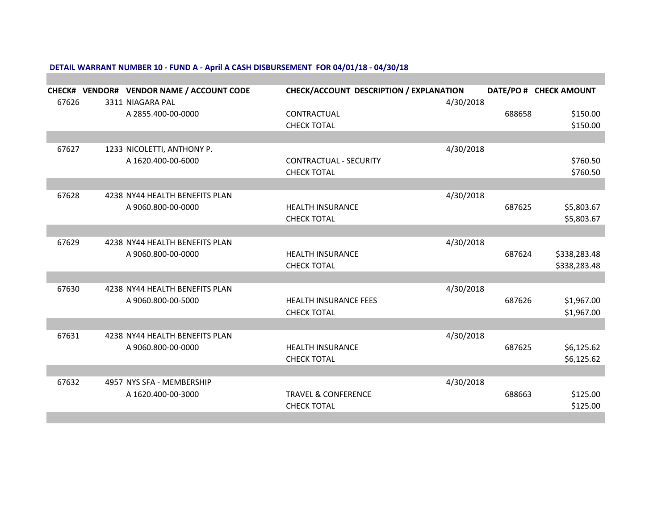|       | CHECK# VENDOR# VENDOR NAME / ACCOUNT CODE | CHECK/ACCOUNT DESCRIPTION / EXPLANATION |           |        | DATE/PO # CHECK AMOUNT |
|-------|-------------------------------------------|-----------------------------------------|-----------|--------|------------------------|
| 67626 | 3311 NIAGARA PAL                          |                                         | 4/30/2018 |        |                        |
|       | A 2855.400-00-0000                        | CONTRACTUAL                             |           | 688658 | \$150.00               |
|       |                                           | <b>CHECK TOTAL</b>                      |           |        | \$150.00               |
|       |                                           |                                         |           |        |                        |
| 67627 | 1233 NICOLETTI, ANTHONY P.                |                                         | 4/30/2018 |        |                        |
|       | A 1620.400-00-6000                        | <b>CONTRACTUAL - SECURITY</b>           |           |        | \$760.50               |
|       |                                           | <b>CHECK TOTAL</b>                      |           |        | \$760.50               |
|       |                                           |                                         |           |        |                        |
| 67628 | 4238 NY44 HEALTH BENEFITS PLAN            |                                         | 4/30/2018 |        |                        |
|       | A 9060.800-00-0000                        | <b>HEALTH INSURANCE</b>                 |           | 687625 | \$5,803.67             |
|       |                                           | <b>CHECK TOTAL</b>                      |           |        | \$5,803.67             |
|       |                                           |                                         |           |        |                        |
| 67629 | 4238 NY44 HEALTH BENEFITS PLAN            |                                         | 4/30/2018 |        |                        |
|       | A 9060.800-00-0000                        | <b>HEALTH INSURANCE</b>                 |           | 687624 | \$338,283.48           |
|       |                                           | <b>CHECK TOTAL</b>                      |           |        | \$338,283.48           |
|       |                                           |                                         |           |        |                        |
| 67630 | 4238 NY44 HEALTH BENEFITS PLAN            |                                         | 4/30/2018 |        |                        |
|       | A 9060.800-00-5000                        | <b>HEALTH INSURANCE FEES</b>            |           | 687626 | \$1,967.00             |
|       |                                           | <b>CHECK TOTAL</b>                      |           |        | \$1,967.00             |
|       |                                           |                                         |           |        |                        |
| 67631 | 4238 NY44 HEALTH BENEFITS PLAN            |                                         | 4/30/2018 |        |                        |
|       | A 9060.800-00-0000                        | <b>HEALTH INSURANCE</b>                 |           | 687625 | \$6,125.62             |
|       |                                           | <b>CHECK TOTAL</b>                      |           |        | \$6,125.62             |
|       |                                           |                                         |           |        |                        |
| 67632 | 4957 NYS SFA - MEMBERSHIP                 |                                         | 4/30/2018 |        |                        |
|       | A 1620.400-00-3000                        | <b>TRAVEL &amp; CONFERENCE</b>          |           | 688663 | \$125.00               |
|       |                                           | <b>CHECK TOTAL</b>                      |           |        | \$125.00               |
|       |                                           |                                         |           |        |                        |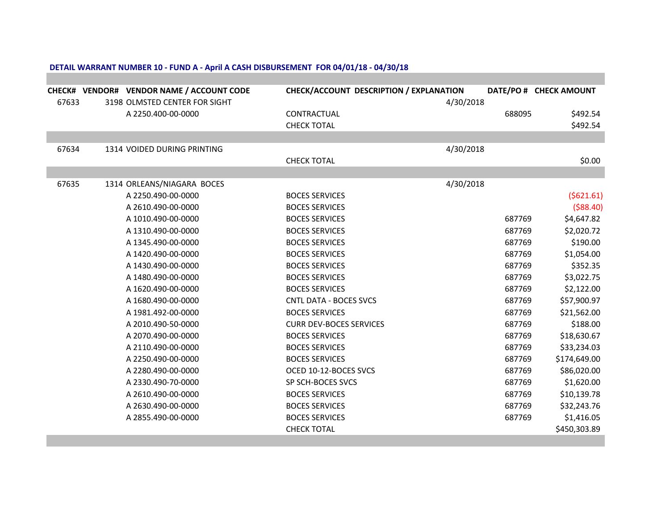|       | CHECK# VENDOR# VENDOR NAME / ACCOUNT CODE |                                | CHECK/ACCOUNT DESCRIPTION / EXPLANATION |        | DATE/PO # CHECK AMOUNT |
|-------|-------------------------------------------|--------------------------------|-----------------------------------------|--------|------------------------|
| 67633 | 3198 OLMSTED CENTER FOR SIGHT             |                                | 4/30/2018                               |        |                        |
|       | A 2250.400-00-0000                        | CONTRACTUAL                    |                                         | 688095 | \$492.54               |
|       |                                           | <b>CHECK TOTAL</b>             |                                         |        | \$492.54               |
|       |                                           |                                |                                         |        |                        |
| 67634 | 1314 VOIDED DURING PRINTING               |                                | 4/30/2018                               |        |                        |
|       |                                           | <b>CHECK TOTAL</b>             |                                         |        | \$0.00                 |
|       |                                           |                                |                                         |        |                        |
| 67635 | 1314 ORLEANS/NIAGARA BOCES                |                                | 4/30/2018                               |        |                        |
|       | A 2250.490-00-0000                        | <b>BOCES SERVICES</b>          |                                         |        | (5621.61)              |
|       | A 2610.490-00-0000                        | <b>BOCES SERVICES</b>          |                                         |        | ( \$88.40)             |
|       | A 1010.490-00-0000                        | <b>BOCES SERVICES</b>          |                                         | 687769 | \$4,647.82             |
|       | A 1310.490-00-0000                        | <b>BOCES SERVICES</b>          |                                         | 687769 | \$2,020.72             |
|       | A 1345.490-00-0000                        | <b>BOCES SERVICES</b>          |                                         | 687769 | \$190.00               |
|       | A 1420.490-00-0000                        | <b>BOCES SERVICES</b>          |                                         | 687769 | \$1,054.00             |
|       | A 1430.490-00-0000                        | <b>BOCES SERVICES</b>          |                                         | 687769 | \$352.35               |
|       | A 1480.490-00-0000                        | <b>BOCES SERVICES</b>          |                                         | 687769 | \$3,022.75             |
|       | A 1620.490-00-0000                        | <b>BOCES SERVICES</b>          |                                         | 687769 | \$2,122.00             |
|       | A 1680.490-00-0000                        | <b>CNTL DATA - BOCES SVCS</b>  |                                         | 687769 | \$57,900.97            |
|       | A 1981.492-00-0000                        | <b>BOCES SERVICES</b>          |                                         | 687769 | \$21,562.00            |
|       | A 2010.490-50-0000                        | <b>CURR DEV-BOCES SERVICES</b> |                                         | 687769 | \$188.00               |
|       | A 2070.490-00-0000                        | <b>BOCES SERVICES</b>          |                                         | 687769 | \$18,630.67            |
|       | A 2110.490-00-0000                        | <b>BOCES SERVICES</b>          |                                         | 687769 | \$33,234.03            |
|       | A 2250.490-00-0000                        | <b>BOCES SERVICES</b>          |                                         | 687769 | \$174,649.00           |
|       | A 2280.490-00-0000                        | OCED 10-12-BOCES SVCS          |                                         | 687769 | \$86,020.00            |
|       | A 2330.490-70-0000                        | SP SCH-BOCES SVCS              |                                         | 687769 | \$1,620.00             |
|       | A 2610.490-00-0000                        | <b>BOCES SERVICES</b>          |                                         | 687769 | \$10,139.78            |
|       | A 2630.490-00-0000                        | <b>BOCES SERVICES</b>          |                                         | 687769 | \$32,243.76            |
|       | A 2855.490-00-0000                        | <b>BOCES SERVICES</b>          |                                         | 687769 | \$1,416.05             |
|       |                                           | <b>CHECK TOTAL</b>             |                                         |        | \$450,303.89           |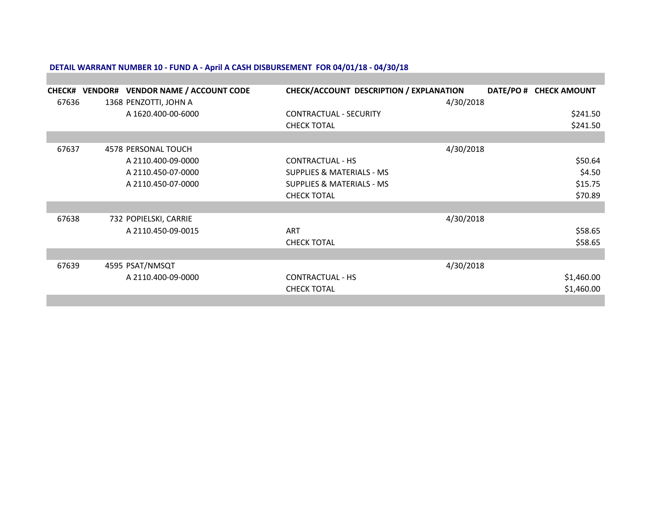|       | CHECK# VENDOR# VENDOR NAME / ACCOUNT CODE | CHECK/ACCOUNT DESCRIPTION / EXPLANATION |           | DATE/PO # CHECK AMOUNT |
|-------|-------------------------------------------|-----------------------------------------|-----------|------------------------|
| 67636 | 1368 PENZOTTI, JOHN A                     |                                         | 4/30/2018 |                        |
|       | A 1620.400-00-6000                        | <b>CONTRACTUAL - SECURITY</b>           |           | \$241.50               |
|       |                                           | <b>CHECK TOTAL</b>                      |           | \$241.50               |
|       |                                           |                                         |           |                        |
| 67637 | 4578 PERSONAL TOUCH                       |                                         | 4/30/2018 |                        |
|       | A 2110.400-09-0000                        | CONTRACTUAL - HS                        |           | \$50.64                |
|       | A 2110.450-07-0000                        | <b>SUPPLIES &amp; MATERIALS - MS</b>    |           | \$4.50                 |
|       | A 2110.450-07-0000                        | <b>SUPPLIES &amp; MATERIALS - MS</b>    |           | \$15.75                |
|       |                                           | <b>CHECK TOTAL</b>                      |           | \$70.89                |
|       |                                           |                                         |           |                        |
| 67638 | 732 POPIELSKI, CARRIE                     |                                         | 4/30/2018 |                        |
|       | A 2110.450-09-0015                        | <b>ART</b>                              |           | \$58.65                |
|       |                                           | <b>CHECK TOTAL</b>                      |           | \$58.65                |
|       |                                           |                                         |           |                        |
| 67639 | 4595 PSAT/NMSQT                           |                                         | 4/30/2018 |                        |
|       | A 2110.400-09-0000                        | <b>CONTRACTUAL - HS</b>                 |           | \$1,460.00             |
|       |                                           | <b>CHECK TOTAL</b>                      |           | \$1,460.00             |
|       |                                           |                                         |           |                        |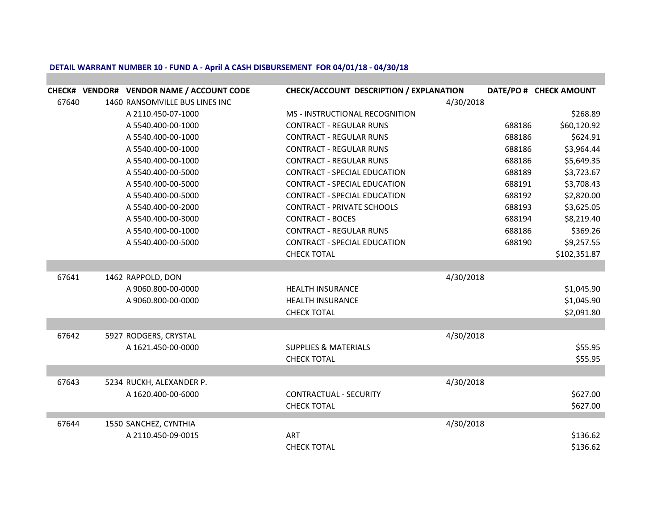|       | CHECK# VENDOR# VENDOR NAME / ACCOUNT CODE | CHECK/ACCOUNT DESCRIPTION / EXPLANATION |           |        | DATE/PO # CHECK AMOUNT |
|-------|-------------------------------------------|-----------------------------------------|-----------|--------|------------------------|
| 67640 | 1460 RANSOMVILLE BUS LINES INC            |                                         | 4/30/2018 |        |                        |
|       | A 2110.450-07-1000                        | MS - INSTRUCTIONAL RECOGNITION          |           |        | \$268.89               |
|       | A 5540.400-00-1000                        | <b>CONTRACT - REGULAR RUNS</b>          |           | 688186 | \$60,120.92            |
|       | A 5540.400-00-1000                        | <b>CONTRACT - REGULAR RUNS</b>          |           | 688186 | \$624.91               |
|       | A 5540.400-00-1000                        | <b>CONTRACT - REGULAR RUNS</b>          |           | 688186 | \$3,964.44             |
|       | A 5540.400-00-1000                        | <b>CONTRACT - REGULAR RUNS</b>          |           | 688186 | \$5,649.35             |
|       | A 5540.400-00-5000                        | <b>CONTRACT - SPECIAL EDUCATION</b>     |           | 688189 | \$3,723.67             |
|       | A 5540.400-00-5000                        | <b>CONTRACT - SPECIAL EDUCATION</b>     |           | 688191 | \$3,708.43             |
|       | A 5540.400-00-5000                        | <b>CONTRACT - SPECIAL EDUCATION</b>     |           | 688192 | \$2,820.00             |
|       | A 5540.400-00-2000                        | <b>CONTRACT - PRIVATE SCHOOLS</b>       |           | 688193 | \$3,625.05             |
|       | A 5540.400-00-3000                        | <b>CONTRACT - BOCES</b>                 |           | 688194 | \$8,219.40             |
|       | A 5540.400-00-1000                        | <b>CONTRACT - REGULAR RUNS</b>          |           | 688186 | \$369.26               |
|       | A 5540.400-00-5000                        | <b>CONTRACT - SPECIAL EDUCATION</b>     |           | 688190 | \$9,257.55             |
|       |                                           | <b>CHECK TOTAL</b>                      |           |        | \$102,351.87           |
|       |                                           |                                         |           |        |                        |
| 67641 | 1462 RAPPOLD, DON                         |                                         | 4/30/2018 |        |                        |
|       | A 9060.800-00-0000                        | <b>HEALTH INSURANCE</b>                 |           |        | \$1,045.90             |
|       | A 9060.800-00-0000                        | <b>HEALTH INSURANCE</b>                 |           |        | \$1,045.90             |
|       |                                           | <b>CHECK TOTAL</b>                      |           |        | \$2,091.80             |
|       |                                           |                                         |           |        |                        |
| 67642 | 5927 RODGERS, CRYSTAL                     |                                         | 4/30/2018 |        |                        |
|       | A 1621.450-00-0000                        | <b>SUPPLIES &amp; MATERIALS</b>         |           |        | \$55.95                |
|       |                                           | <b>CHECK TOTAL</b>                      |           |        | \$55.95                |
|       |                                           |                                         |           |        |                        |
| 67643 | 5234 RUCKH, ALEXANDER P.                  |                                         | 4/30/2018 |        |                        |
|       | A 1620.400-00-6000                        | <b>CONTRACTUAL - SECURITY</b>           |           |        | \$627.00               |
|       |                                           | <b>CHECK TOTAL</b>                      |           |        | \$627.00               |
| 67644 | 1550 SANCHEZ, CYNTHIA                     |                                         | 4/30/2018 |        |                        |
|       | A 2110.450-09-0015                        | ART                                     |           |        | \$136.62               |
|       |                                           | <b>CHECK TOTAL</b>                      |           |        | \$136.62               |
|       |                                           |                                         |           |        |                        |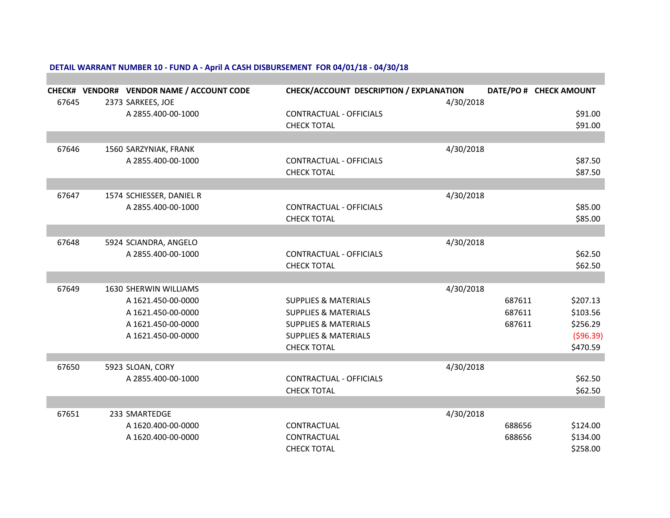|       | CHECK# VENDOR# VENDOR NAME / ACCOUNT CODE | CHECK/ACCOUNT DESCRIPTION / EXPLANATION |           |        | DATE/PO # CHECK AMOUNT |
|-------|-------------------------------------------|-----------------------------------------|-----------|--------|------------------------|
| 67645 | 2373 SARKEES, JOE                         |                                         | 4/30/2018 |        |                        |
|       | A 2855.400-00-1000                        | <b>CONTRACTUAL - OFFICIALS</b>          |           |        | \$91.00                |
|       |                                           | <b>CHECK TOTAL</b>                      |           |        | \$91.00                |
|       |                                           |                                         |           |        |                        |
| 67646 | 1560 SARZYNIAK, FRANK                     |                                         | 4/30/2018 |        |                        |
|       | A 2855.400-00-1000                        | <b>CONTRACTUAL - OFFICIALS</b>          |           |        | \$87.50                |
|       |                                           | <b>CHECK TOTAL</b>                      |           |        | \$87.50                |
|       |                                           |                                         |           |        |                        |
| 67647 | 1574 SCHIESSER, DANIEL R                  |                                         | 4/30/2018 |        |                        |
|       | A 2855.400-00-1000                        | <b>CONTRACTUAL - OFFICIALS</b>          |           |        | \$85.00                |
|       |                                           | <b>CHECK TOTAL</b>                      |           |        | \$85.00                |
|       |                                           |                                         |           |        |                        |
| 67648 | 5924 SCIANDRA, ANGELO                     |                                         | 4/30/2018 |        |                        |
|       | A 2855.400-00-1000                        | <b>CONTRACTUAL - OFFICIALS</b>          |           |        | \$62.50                |
|       |                                           | <b>CHECK TOTAL</b>                      |           |        | \$62.50                |
|       |                                           |                                         |           |        |                        |
| 67649 | <b>1630 SHERWIN WILLIAMS</b>              |                                         | 4/30/2018 |        |                        |
|       | A 1621.450-00-0000                        | <b>SUPPLIES &amp; MATERIALS</b>         |           | 687611 | \$207.13               |
|       | A 1621.450-00-0000                        | <b>SUPPLIES &amp; MATERIALS</b>         |           | 687611 | \$103.56               |
|       | A 1621.450-00-0000                        | <b>SUPPLIES &amp; MATERIALS</b>         |           | 687611 | \$256.29               |
|       | A 1621.450-00-0000                        | <b>SUPPLIES &amp; MATERIALS</b>         |           |        | (596.39)               |
|       |                                           | <b>CHECK TOTAL</b>                      |           |        | \$470.59               |
| 67650 | 5923 SLOAN, CORY                          |                                         | 4/30/2018 |        |                        |
|       | A 2855.400-00-1000                        | <b>CONTRACTUAL - OFFICIALS</b>          |           |        | \$62.50                |
|       |                                           | <b>CHECK TOTAL</b>                      |           |        | \$62.50                |
|       |                                           |                                         |           |        |                        |
| 67651 | 233 SMARTEDGE                             |                                         | 4/30/2018 |        |                        |
|       | A 1620.400-00-0000                        | CONTRACTUAL                             |           | 688656 | \$124.00               |
|       | A 1620.400-00-0000                        | CONTRACTUAL                             |           | 688656 | \$134.00               |
|       |                                           | <b>CHECK TOTAL</b>                      |           |        | \$258.00               |
|       |                                           |                                         |           |        |                        |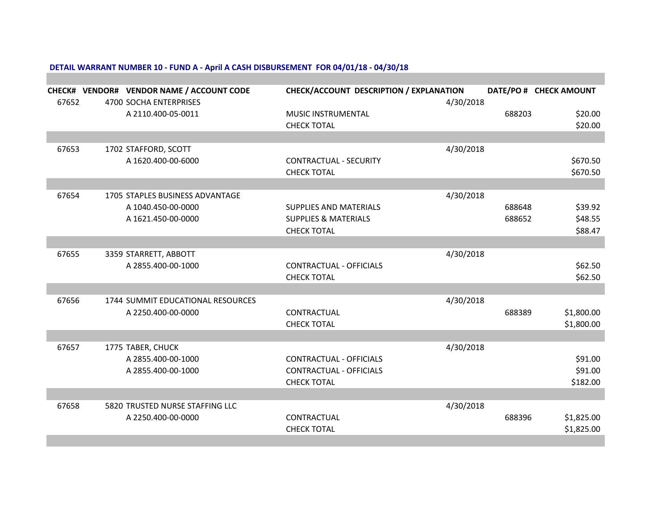|       | CHECK# VENDOR# VENDOR NAME / ACCOUNT CODE | CHECK/ACCOUNT DESCRIPTION / EXPLANATION |           |        | DATE/PO # CHECK AMOUNT |
|-------|-------------------------------------------|-----------------------------------------|-----------|--------|------------------------|
| 67652 | <b>4700 SOCHA ENTERPRISES</b>             |                                         | 4/30/2018 |        |                        |
|       | A 2110.400-05-0011                        | MUSIC INSTRUMENTAL                      |           | 688203 | \$20.00                |
|       |                                           | <b>CHECK TOTAL</b>                      |           |        | \$20.00                |
|       |                                           |                                         |           |        |                        |
| 67653 | 1702 STAFFORD, SCOTT                      |                                         | 4/30/2018 |        |                        |
|       | A 1620.400-00-6000                        | <b>CONTRACTUAL - SECURITY</b>           |           |        | \$670.50               |
|       |                                           | <b>CHECK TOTAL</b>                      |           |        | \$670.50               |
|       |                                           |                                         |           |        |                        |
| 67654 | 1705 STAPLES BUSINESS ADVANTAGE           |                                         | 4/30/2018 |        |                        |
|       | A 1040.450-00-0000                        | <b>SUPPLIES AND MATERIALS</b>           |           | 688648 | \$39.92                |
|       | A 1621.450-00-0000                        | <b>SUPPLIES &amp; MATERIALS</b>         |           | 688652 | \$48.55                |
|       |                                           | <b>CHECK TOTAL</b>                      |           |        | \$88.47                |
|       |                                           |                                         |           |        |                        |
| 67655 | 3359 STARRETT, ABBOTT                     |                                         | 4/30/2018 |        |                        |
|       | A 2855.400-00-1000                        | <b>CONTRACTUAL - OFFICIALS</b>          |           |        | \$62.50                |
|       |                                           | <b>CHECK TOTAL</b>                      |           |        | \$62.50                |
|       |                                           |                                         |           |        |                        |
| 67656 | 1744 SUMMIT EDUCATIONAL RESOURCES         |                                         | 4/30/2018 |        |                        |
|       | A 2250.400-00-0000                        | CONTRACTUAL                             |           | 688389 | \$1,800.00             |
|       |                                           | <b>CHECK TOTAL</b>                      |           |        | \$1,800.00             |
|       |                                           |                                         |           |        |                        |
| 67657 | 1775 TABER, CHUCK                         |                                         | 4/30/2018 |        |                        |
|       | A 2855.400-00-1000                        | <b>CONTRACTUAL - OFFICIALS</b>          |           |        | \$91.00                |
|       | A 2855.400-00-1000                        | <b>CONTRACTUAL - OFFICIALS</b>          |           |        | \$91.00                |
|       |                                           | <b>CHECK TOTAL</b>                      |           |        | \$182.00               |
|       |                                           |                                         |           |        |                        |
| 67658 | 5820 TRUSTED NURSE STAFFING LLC           |                                         | 4/30/2018 |        |                        |
|       | A 2250.400-00-0000                        | CONTRACTUAL                             |           | 688396 | \$1,825.00             |
|       |                                           | <b>CHECK TOTAL</b>                      |           |        | \$1,825.00             |
|       |                                           |                                         |           |        |                        |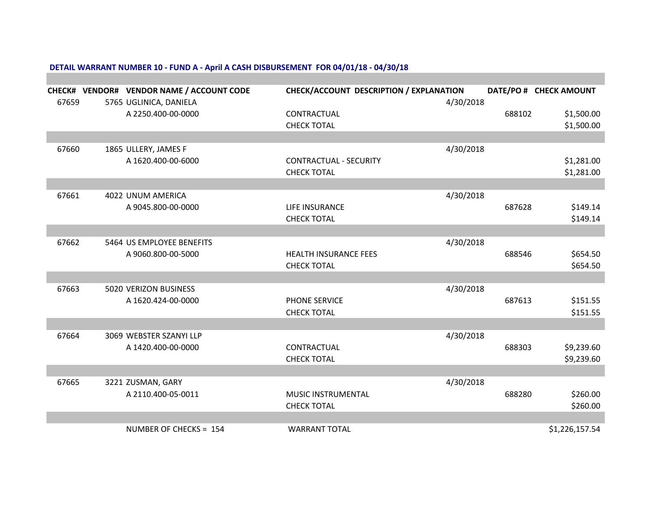|       | CHECK# VENDOR# VENDOR NAME / ACCOUNT CODE |                               | CHECK/ACCOUNT DESCRIPTION / EXPLANATION |           |        | DATE/PO # CHECK AMOUNT |
|-------|-------------------------------------------|-------------------------------|-----------------------------------------|-----------|--------|------------------------|
| 67659 | 5765 UGLINICA, DANIELA                    |                               |                                         | 4/30/2018 |        |                        |
|       | A 2250.400-00-0000                        | CONTRACTUAL                   |                                         |           | 688102 | \$1,500.00             |
|       |                                           | <b>CHECK TOTAL</b>            |                                         |           |        | \$1,500.00             |
|       |                                           |                               |                                         |           |        |                        |
| 67660 | 1865 ULLERY, JAMES F                      |                               |                                         | 4/30/2018 |        |                        |
|       | A 1620.400-00-6000                        | <b>CONTRACTUAL - SECURITY</b> |                                         |           |        | \$1,281.00             |
|       |                                           | <b>CHECK TOTAL</b>            |                                         |           |        | \$1,281.00             |
|       |                                           |                               |                                         |           |        |                        |
| 67661 | 4022 UNUM AMERICA                         |                               |                                         | 4/30/2018 |        |                        |
|       | A 9045.800-00-0000                        | LIFE INSURANCE                |                                         |           | 687628 | \$149.14               |
|       |                                           | <b>CHECK TOTAL</b>            |                                         |           |        | \$149.14               |
|       |                                           |                               |                                         |           |        |                        |
| 67662 | 5464 US EMPLOYEE BENEFITS                 |                               |                                         | 4/30/2018 |        |                        |
|       | A 9060.800-00-5000                        | <b>HEALTH INSURANCE FEES</b>  |                                         |           | 688546 | \$654.50               |
|       |                                           | <b>CHECK TOTAL</b>            |                                         |           |        | \$654.50               |
|       |                                           |                               |                                         |           |        |                        |
| 67663 | 5020 VERIZON BUSINESS                     |                               |                                         | 4/30/2018 |        |                        |
|       | A 1620.424-00-0000                        | PHONE SERVICE                 |                                         |           | 687613 | \$151.55               |
|       |                                           | <b>CHECK TOTAL</b>            |                                         |           |        | \$151.55               |
|       |                                           |                               |                                         |           |        |                        |
| 67664 | 3069 WEBSTER SZANYI LLP                   |                               |                                         | 4/30/2018 |        |                        |
|       | A 1420.400-00-0000                        | CONTRACTUAL                   |                                         |           | 688303 | \$9,239.60             |
|       |                                           | <b>CHECK TOTAL</b>            |                                         |           |        | \$9,239.60             |
|       |                                           |                               |                                         |           |        |                        |
| 67665 | 3221 ZUSMAN, GARY                         |                               |                                         | 4/30/2018 |        |                        |
|       | A 2110.400-05-0011                        | MUSIC INSTRUMENTAL            |                                         |           | 688280 | \$260.00               |
|       |                                           | <b>CHECK TOTAL</b>            |                                         |           |        | \$260.00               |
|       |                                           |                               |                                         |           |        |                        |
|       | NUMBER OF CHECKS = 154                    | <b>WARRANT TOTAL</b>          |                                         |           |        | \$1,226,157.54         |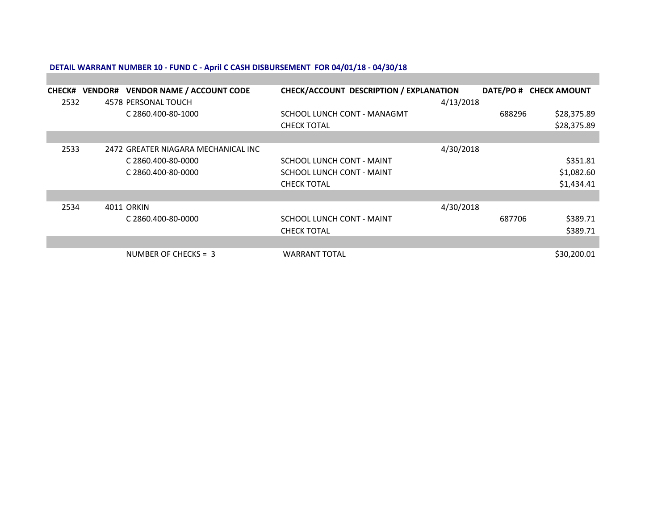| <b>CHECK#</b> | <b>VENDOR#</b> | <b>VENDOR NAME / ACCOUNT CODE</b>   | <b>CHECK/ACCOUNT DESCRIPTION / EXPLANATION</b> |           | <b>DATE/PO#</b> | <b>CHECK AMOUNT</b> |
|---------------|----------------|-------------------------------------|------------------------------------------------|-----------|-----------------|---------------------|
| 2532          |                | 4578 PERSONAL TOUCH                 |                                                | 4/13/2018 |                 |                     |
|               |                | C 2860.400-80-1000                  | SCHOOL LUNCH CONT - MANAGMT                    |           | 688296          | \$28,375.89         |
|               |                |                                     | <b>CHECK TOTAL</b>                             |           |                 | \$28,375.89         |
|               |                |                                     |                                                |           |                 |                     |
| 2533          |                | 2472 GREATER NIAGARA MECHANICAL INC |                                                | 4/30/2018 |                 |                     |
|               |                | C 2860.400-80-0000                  | SCHOOL LUNCH CONT - MAINT                      |           |                 | \$351.81            |
|               |                | C 2860.400-80-0000                  | SCHOOL LUNCH CONT - MAINT                      |           |                 | \$1,082.60          |
|               |                |                                     | <b>CHECK TOTAL</b>                             |           |                 | \$1,434.41          |
|               |                |                                     |                                                |           |                 |                     |
| 2534          |                | 4011 ORKIN                          |                                                | 4/30/2018 |                 |                     |
|               |                | C 2860.400-80-0000                  | SCHOOL LUNCH CONT - MAINT                      |           | 687706          | \$389.71            |
|               |                |                                     | <b>CHECK TOTAL</b>                             |           |                 | \$389.71            |
|               |                |                                     |                                                |           |                 |                     |
|               |                | NUMBER OF CHECKS = $3$              | <b>WARRANT TOTAL</b>                           |           |                 | \$30,200.01         |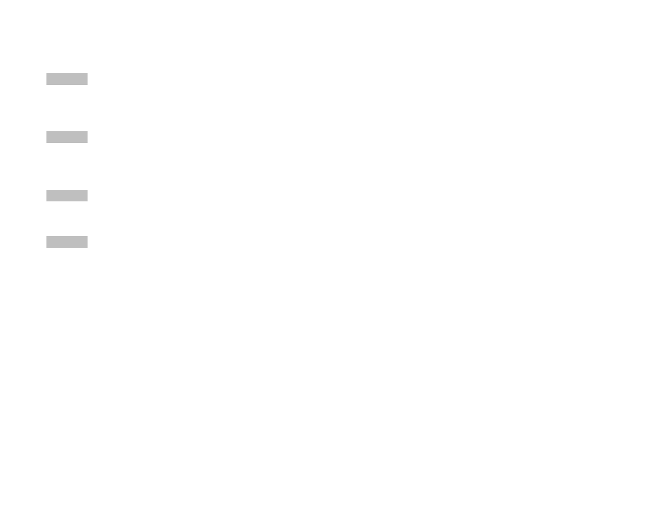$\mathcal{L}^{\text{max}}_{\text{max}}$ 

 $\mathcal{L}^{\text{max}}_{\text{max}}$ 

 $\mathcal{L}^{\text{max}}_{\text{max}}$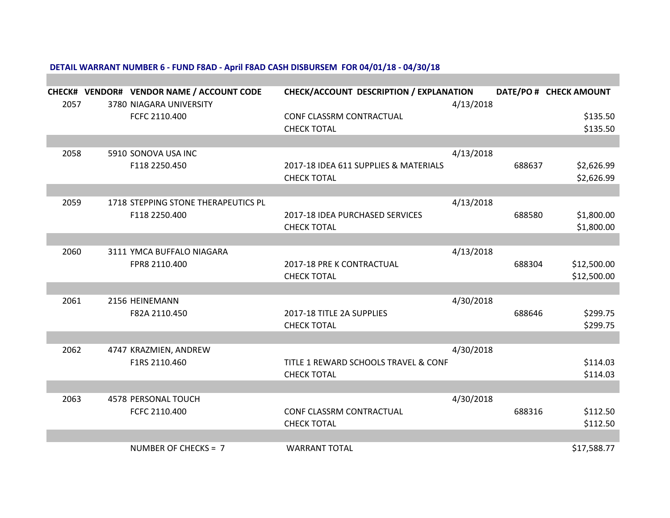| 2057 | CHECK# VENDOR# VENDOR NAME / ACCOUNT CODE<br>3780 NIAGARA UNIVERSITY | CHECK/ACCOUNT DESCRIPTION / EXPLANATION | 4/13/2018 |        | DATE/PO # CHECK AMOUNT |
|------|----------------------------------------------------------------------|-----------------------------------------|-----------|--------|------------------------|
|      | FCFC 2110.400                                                        | CONF CLASSRM CONTRACTUAL                |           |        | \$135.50               |
|      |                                                                      | <b>CHECK TOTAL</b>                      |           |        | \$135.50               |
|      |                                                                      |                                         |           |        |                        |
| 2058 | 5910 SONOVA USA INC                                                  |                                         | 4/13/2018 |        |                        |
|      | F118 2250.450                                                        | 2017-18 IDEA 611 SUPPLIES & MATERIALS   |           | 688637 | \$2,626.99             |
|      |                                                                      | <b>CHECK TOTAL</b>                      |           |        | \$2,626.99             |
|      |                                                                      |                                         |           |        |                        |
| 2059 | 1718 STEPPING STONE THERAPEUTICS PL                                  |                                         | 4/13/2018 |        |                        |
|      | F118 2250.400                                                        | 2017-18 IDEA PURCHASED SERVICES         |           | 688580 | \$1,800.00             |
|      |                                                                      | <b>CHECK TOTAL</b>                      |           |        | \$1,800.00             |
|      |                                                                      |                                         |           |        |                        |
| 2060 | 3111 YMCA BUFFALO NIAGARA                                            |                                         | 4/13/2018 |        |                        |
|      | FPR8 2110.400                                                        | 2017-18 PRE K CONTRACTUAL               |           | 688304 | \$12,500.00            |
|      |                                                                      | <b>CHECK TOTAL</b>                      |           |        | \$12,500.00            |
|      |                                                                      |                                         |           |        |                        |
| 2061 | 2156 HEINEMANN                                                       |                                         | 4/30/2018 |        |                        |
|      | F82A 2110.450                                                        | 2017-18 TITLE 2A SUPPLIES               |           | 688646 | \$299.75               |
|      |                                                                      | <b>CHECK TOTAL</b>                      |           |        | \$299.75               |
|      |                                                                      |                                         |           |        |                        |
| 2062 | 4747 KRAZMIEN, ANDREW                                                |                                         | 4/30/2018 |        |                        |
|      | F1RS 2110.460                                                        | TITLE 1 REWARD SCHOOLS TRAVEL & CONF    |           |        | \$114.03               |
|      |                                                                      | <b>CHECK TOTAL</b>                      |           |        | \$114.03               |
|      |                                                                      |                                         |           |        |                        |
| 2063 | <b>4578 PERSONAL TOUCH</b>                                           |                                         | 4/30/2018 |        |                        |
|      | FCFC 2110.400                                                        | CONF CLASSRM CONTRACTUAL                |           | 688316 | \$112.50               |
|      |                                                                      | <b>CHECK TOTAL</b>                      |           |        | \$112.50               |
|      |                                                                      |                                         |           |        |                        |
|      | NUMBER OF CHECKS = 7                                                 | <b>WARRANT TOTAL</b>                    |           |        | \$17,588.77            |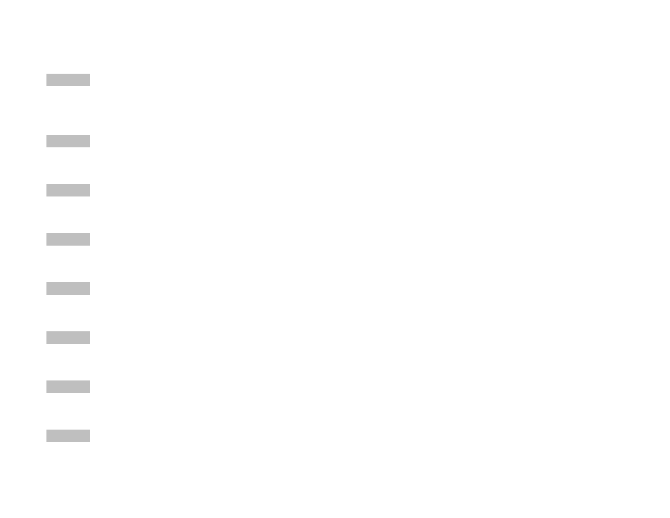$\mathcal{L}^{\text{max}}_{\text{max}}$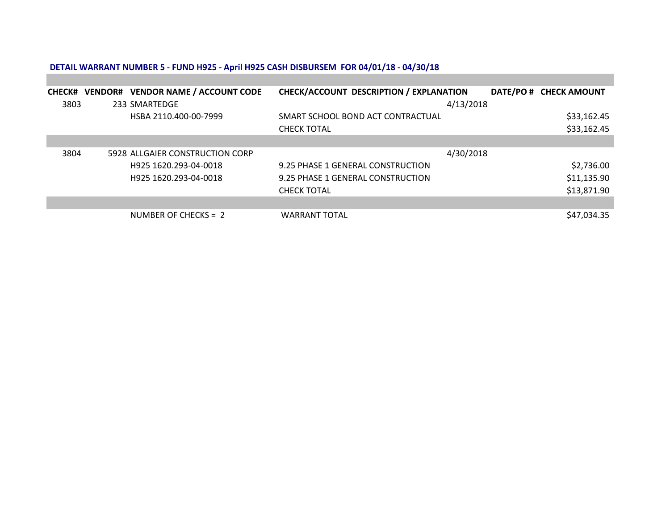| 3803 | CHECK# VENDOR# VENDOR NAME / ACCOUNT CODE<br>233 SMARTEDGE | <b>CHECK/ACCOUNT DESCRIPTION / EXPLANATION</b> | 4/13/2018 | DATE/PO # CHECK AMOUNT |
|------|------------------------------------------------------------|------------------------------------------------|-----------|------------------------|
|      | HSBA 2110.400-00-7999                                      | SMART SCHOOL BOND ACT CONTRACTUAL              |           | \$33,162.45            |
|      |                                                            | <b>CHECK TOTAL</b>                             |           | \$33,162.45            |
|      |                                                            |                                                |           |                        |
| 3804 | 5928 ALLGAIER CONSTRUCTION CORP                            |                                                | 4/30/2018 |                        |
|      | H925 1620.293-04-0018                                      | 9.25 PHASE 1 GENERAL CONSTRUCTION              |           | \$2,736.00             |
|      | H925 1620.293-04-0018                                      | 9.25 PHASE 1 GENERAL CONSTRUCTION              |           | \$11,135.90            |
|      |                                                            | <b>CHECK TOTAL</b>                             |           | \$13,871.90            |
|      |                                                            |                                                |           |                        |
|      | NUMBER OF CHECKS = $2$                                     | <b>WARRANT TOTAL</b>                           |           | \$47,034.35            |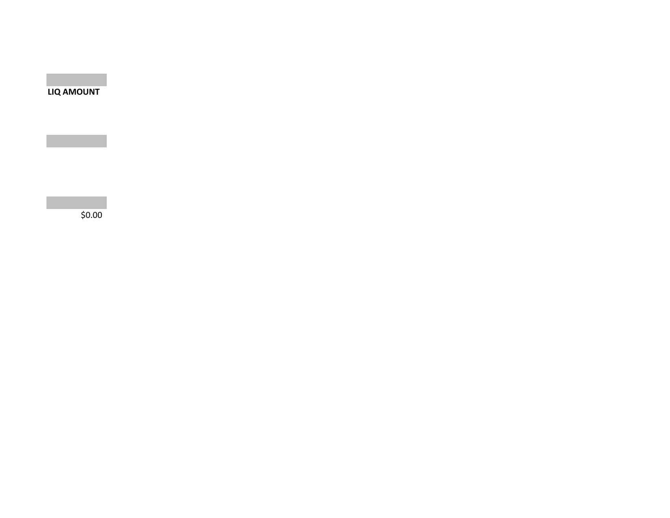**LIQ AMOUNT**

\$0.00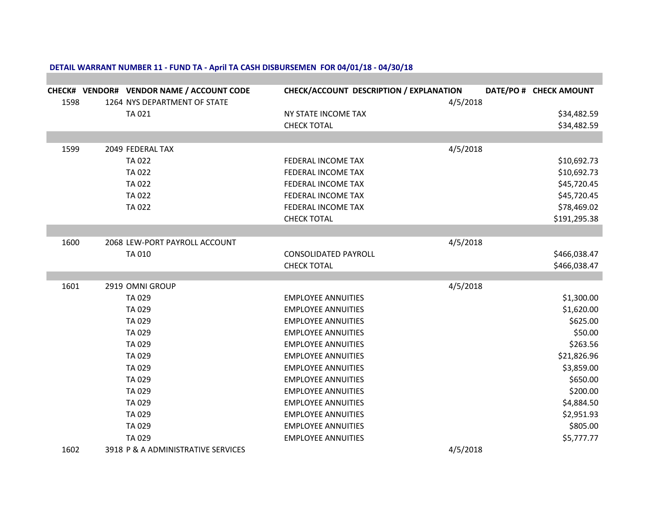|      | CHECK# VENDOR# VENDOR NAME / ACCOUNT CODE | CHECK/ACCOUNT DESCRIPTION / EXPLANATION |          | DATE/PO # CHECK AMOUNT |
|------|-------------------------------------------|-----------------------------------------|----------|------------------------|
| 1598 | 1264 NYS DEPARTMENT OF STATE              |                                         | 4/5/2018 |                        |
|      | TA 021                                    | NY STATE INCOME TAX                     |          | \$34,482.59            |
|      |                                           | <b>CHECK TOTAL</b>                      |          | \$34,482.59            |
|      |                                           |                                         |          |                        |
| 1599 | 2049 FEDERAL TAX                          |                                         | 4/5/2018 |                        |
|      | <b>TA022</b>                              | FEDERAL INCOME TAX                      |          | \$10,692.73            |
|      | TA 022                                    | FEDERAL INCOME TAX                      |          | \$10,692.73            |
|      | TA 022                                    | FEDERAL INCOME TAX                      |          | \$45,720.45            |
|      | TA 022                                    | FEDERAL INCOME TAX                      |          | \$45,720.45            |
|      | TA 022                                    | FEDERAL INCOME TAX                      |          | \$78,469.02            |
|      |                                           | <b>CHECK TOTAL</b>                      |          | \$191,295.38           |
|      |                                           |                                         |          |                        |
| 1600 | 2068 LEW-PORT PAYROLL ACCOUNT             |                                         | 4/5/2018 |                        |
|      | TA 010                                    | <b>CONSOLIDATED PAYROLL</b>             |          | \$466,038.47           |
|      |                                           | <b>CHECK TOTAL</b>                      |          | \$466,038.47           |
|      |                                           |                                         |          |                        |
| 1601 | 2919 OMNI GROUP                           |                                         | 4/5/2018 |                        |
|      | TA 029                                    | <b>EMPLOYEE ANNUITIES</b>               |          | \$1,300.00             |
|      | TA 029                                    | <b>EMPLOYEE ANNUITIES</b>               |          | \$1,620.00             |
|      | TA 029                                    | <b>EMPLOYEE ANNUITIES</b>               |          | \$625.00               |
|      | TA 029                                    | <b>EMPLOYEE ANNUITIES</b>               |          | \$50.00                |
|      | TA 029                                    | <b>EMPLOYEE ANNUITIES</b>               |          | \$263.56               |
|      | TA 029                                    | <b>EMPLOYEE ANNUITIES</b>               |          | \$21,826.96            |
|      | TA 029                                    | <b>EMPLOYEE ANNUITIES</b>               |          | \$3,859.00             |
|      | TA 029                                    | <b>EMPLOYEE ANNUITIES</b>               |          | \$650.00               |
|      | TA 029                                    | <b>EMPLOYEE ANNUITIES</b>               |          | \$200.00               |
|      | TA 029                                    | <b>EMPLOYEE ANNUITIES</b>               |          | \$4,884.50             |
|      | TA 029                                    | <b>EMPLOYEE ANNUITIES</b>               |          | \$2,951.93             |
|      | TA 029                                    | <b>EMPLOYEE ANNUITIES</b>               |          | \$805.00               |
|      | TA 029                                    | <b>EMPLOYEE ANNUITIES</b>               |          | \$5,777.77             |
| 1602 | 3918 P & A ADMINISTRATIVE SERVICES        |                                         | 4/5/2018 |                        |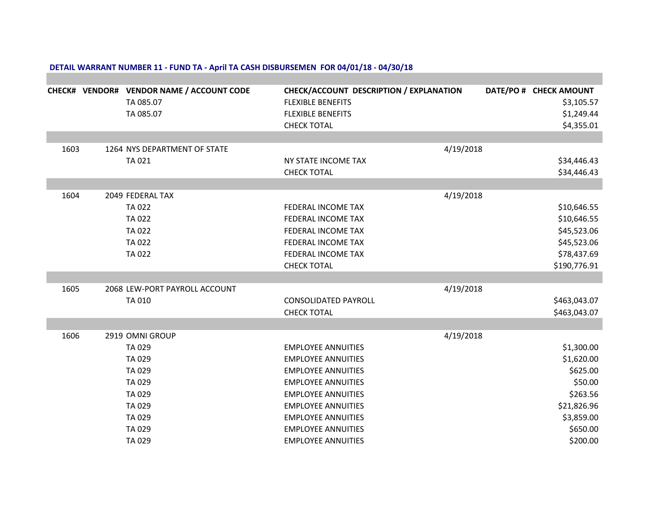|      | CHECK# VENDOR# VENDOR NAME / ACCOUNT CODE | CHECK/ACCOUNT DESCRIPTION / EXPLANATION | DATE/PO # CHECK AMOUNT |
|------|-------------------------------------------|-----------------------------------------|------------------------|
|      | TA 085.07                                 | <b>FLEXIBLE BENEFITS</b>                | \$3,105.57             |
|      | TA 085.07                                 | <b>FLEXIBLE BENEFITS</b>                | \$1,249.44             |
|      |                                           | <b>CHECK TOTAL</b>                      | \$4,355.01             |
|      |                                           |                                         |                        |
| 1603 | 1264 NYS DEPARTMENT OF STATE              | 4/19/2018                               |                        |
|      | TA 021                                    | NY STATE INCOME TAX                     | \$34,446.43            |
|      |                                           | <b>CHECK TOTAL</b>                      | \$34,446.43            |
|      |                                           |                                         |                        |
| 1604 | 2049 FEDERAL TAX                          | 4/19/2018                               |                        |
|      | <b>TA022</b>                              | FEDERAL INCOME TAX                      | \$10,646.55            |
|      | TA 022                                    | FEDERAL INCOME TAX                      | \$10,646.55            |
|      | TA 022                                    | FEDERAL INCOME TAX                      | \$45,523.06            |
|      | <b>TA022</b>                              | FEDERAL INCOME TAX                      | \$45,523.06            |
|      | TA 022                                    | FEDERAL INCOME TAX                      | \$78,437.69            |
|      |                                           | <b>CHECK TOTAL</b>                      | \$190,776.91           |
|      |                                           |                                         |                        |
| 1605 | 2068 LEW-PORT PAYROLL ACCOUNT             | 4/19/2018                               |                        |
|      | TA 010                                    | <b>CONSOLIDATED PAYROLL</b>             | \$463,043.07           |
|      |                                           | <b>CHECK TOTAL</b>                      | \$463,043.07           |
|      |                                           |                                         |                        |
| 1606 | 2919 OMNI GROUP                           | 4/19/2018                               |                        |
|      | TA 029                                    | <b>EMPLOYEE ANNUITIES</b>               | \$1,300.00             |
|      | TA 029                                    | <b>EMPLOYEE ANNUITIES</b>               | \$1,620.00             |
|      | TA 029                                    | <b>EMPLOYEE ANNUITIES</b>               | \$625.00               |
|      | TA 029                                    | <b>EMPLOYEE ANNUITIES</b>               | \$50.00                |
|      | TA 029                                    | <b>EMPLOYEE ANNUITIES</b>               | \$263.56               |
|      | TA 029                                    | <b>EMPLOYEE ANNUITIES</b>               | \$21,826.96            |
|      | TA 029                                    | <b>EMPLOYEE ANNUITIES</b>               | \$3,859.00             |
|      | TA 029                                    | <b>EMPLOYEE ANNUITIES</b>               | \$650.00               |
|      | TA 029                                    | <b>EMPLOYEE ANNUITIES</b>               | \$200.00               |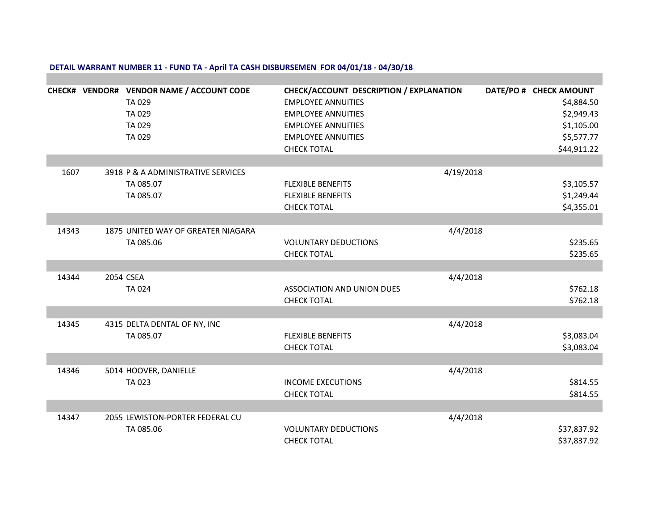|       | CHECK# VENDOR# VENDOR NAME / ACCOUNT CODE | CHECK/ACCOUNT DESCRIPTION / EXPLANATION | DATE/PO # CHECK AMOUNT |
|-------|-------------------------------------------|-----------------------------------------|------------------------|
|       | TA 029                                    | <b>EMPLOYEE ANNUITIES</b>               | \$4,884.50             |
|       | TA 029                                    | <b>EMPLOYEE ANNUITIES</b>               | \$2,949.43             |
|       | TA 029                                    | <b>EMPLOYEE ANNUITIES</b>               | \$1,105.00             |
|       | TA 029                                    | <b>EMPLOYEE ANNUITIES</b>               | \$5,577.77             |
|       |                                           | <b>CHECK TOTAL</b>                      | \$44,911.22            |
|       |                                           |                                         |                        |
| 1607  | 3918 P & A ADMINISTRATIVE SERVICES        | 4/19/2018                               |                        |
|       | TA 085.07                                 | <b>FLEXIBLE BENEFITS</b>                | \$3,105.57             |
|       | TA 085.07                                 | <b>FLEXIBLE BENEFITS</b>                | \$1,249.44             |
|       |                                           | <b>CHECK TOTAL</b>                      | \$4,355.01             |
|       |                                           |                                         |                        |
| 14343 | 1875 UNITED WAY OF GREATER NIAGARA        | 4/4/2018                                |                        |
|       | TA 085.06                                 | <b>VOLUNTARY DEDUCTIONS</b>             | \$235.65               |
|       |                                           | <b>CHECK TOTAL</b>                      | \$235.65               |
|       |                                           |                                         |                        |
| 14344 | 2054 CSEA                                 | 4/4/2018                                |                        |
|       | TA 024                                    | <b>ASSOCIATION AND UNION DUES</b>       | \$762.18               |
|       |                                           | <b>CHECK TOTAL</b>                      | \$762.18               |
|       |                                           |                                         |                        |
| 14345 | 4315 DELTA DENTAL OF NY, INC              | 4/4/2018                                |                        |
|       | TA 085.07                                 | <b>FLEXIBLE BENEFITS</b>                | \$3,083.04             |
|       |                                           | <b>CHECK TOTAL</b>                      | \$3,083.04             |
|       |                                           |                                         |                        |
| 14346 | 5014 HOOVER, DANIELLE                     | 4/4/2018                                |                        |
|       | TA 023                                    | <b>INCOME EXECUTIONS</b>                | \$814.55               |
|       |                                           | <b>CHECK TOTAL</b>                      | \$814.55               |
|       |                                           |                                         |                        |
| 14347 | 2055 LEWISTON-PORTER FEDERAL CU           | 4/4/2018                                |                        |
|       | TA 085.06                                 | <b>VOLUNTARY DEDUCTIONS</b>             | \$37,837.92            |
|       |                                           | <b>CHECK TOTAL</b>                      | \$37,837.92            |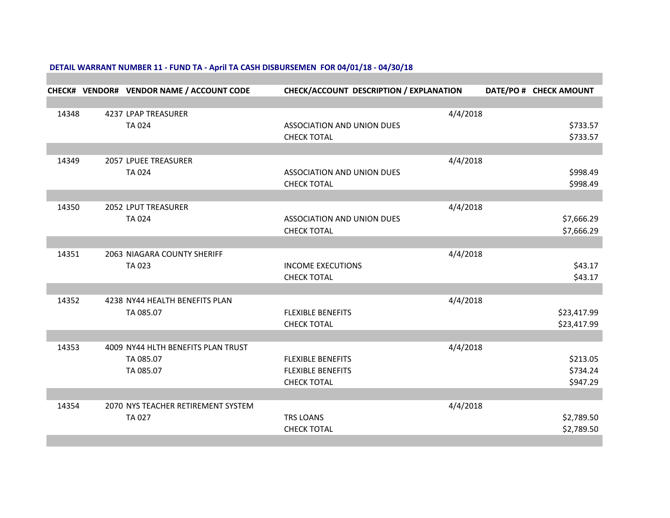| DETAIL WARRANT NUMBER 11 - FUND TA - April TA CASH DISBURSEMEN FOR 04/01/18 - 04/30/18 |  |  |  |
|----------------------------------------------------------------------------------------|--|--|--|
|----------------------------------------------------------------------------------------|--|--|--|

| 4/4/2018<br><b>4237 LPAP TREASURER</b><br>14348<br>TA 024<br>\$733.57<br><b>ASSOCIATION AND UNION DUES</b><br>\$733.57<br><b>CHECK TOTAL</b><br>4/4/2018<br>14349<br><b>2057 LPUEE TREASURER</b><br>\$998.49<br>TA 024<br><b>ASSOCIATION AND UNION DUES</b><br>\$998.49<br><b>CHECK TOTAL</b><br>4/4/2018<br>14350<br>2052 LPUT TREASURER | DATE/PO # CHECK AMOUNT |
|-------------------------------------------------------------------------------------------------------------------------------------------------------------------------------------------------------------------------------------------------------------------------------------------------------------------------------------------|------------------------|
|                                                                                                                                                                                                                                                                                                                                           |                        |
|                                                                                                                                                                                                                                                                                                                                           |                        |
|                                                                                                                                                                                                                                                                                                                                           |                        |
|                                                                                                                                                                                                                                                                                                                                           |                        |
|                                                                                                                                                                                                                                                                                                                                           |                        |
|                                                                                                                                                                                                                                                                                                                                           |                        |
|                                                                                                                                                                                                                                                                                                                                           |                        |
|                                                                                                                                                                                                                                                                                                                                           |                        |
|                                                                                                                                                                                                                                                                                                                                           |                        |
|                                                                                                                                                                                                                                                                                                                                           |                        |
| <b>TA024</b><br>\$7,666.29<br><b>ASSOCIATION AND UNION DUES</b>                                                                                                                                                                                                                                                                           |                        |
| \$7,666.29<br><b>CHECK TOTAL</b>                                                                                                                                                                                                                                                                                                          |                        |
|                                                                                                                                                                                                                                                                                                                                           |                        |
| 4/4/2018<br>14351<br>2063 NIAGARA COUNTY SHERIFF                                                                                                                                                                                                                                                                                          |                        |
| TA 023<br><b>INCOME EXECUTIONS</b>                                                                                                                                                                                                                                                                                                        | \$43.17                |
| <b>CHECK TOTAL</b>                                                                                                                                                                                                                                                                                                                        | \$43.17                |
|                                                                                                                                                                                                                                                                                                                                           |                        |
| 4/4/2018<br>14352<br>4238 NY44 HEALTH BENEFITS PLAN                                                                                                                                                                                                                                                                                       |                        |
| <b>FLEXIBLE BENEFITS</b><br>\$23,417.99<br>TA 085.07                                                                                                                                                                                                                                                                                      |                        |
| \$23,417.99<br><b>CHECK TOTAL</b>                                                                                                                                                                                                                                                                                                         |                        |
|                                                                                                                                                                                                                                                                                                                                           |                        |
| 4/4/2018<br>14353<br>4009 NY44 HLTH BENEFITS PLAN TRUST                                                                                                                                                                                                                                                                                   |                        |
| TA 085.07<br><b>FLEXIBLE BENEFITS</b><br>\$213.05                                                                                                                                                                                                                                                                                         |                        |
| \$734.24<br>TA 085.07<br><b>FLEXIBLE BENEFITS</b>                                                                                                                                                                                                                                                                                         |                        |
| \$947.29<br><b>CHECK TOTAL</b>                                                                                                                                                                                                                                                                                                            |                        |
|                                                                                                                                                                                                                                                                                                                                           |                        |
| 4/4/2018<br>14354<br>2070 NYS TEACHER RETIREMENT SYSTEM                                                                                                                                                                                                                                                                                   |                        |
| <b>TA027</b><br><b>TRS LOANS</b><br>\$2,789.50                                                                                                                                                                                                                                                                                            |                        |
| \$2,789.50<br><b>CHECK TOTAL</b>                                                                                                                                                                                                                                                                                                          |                        |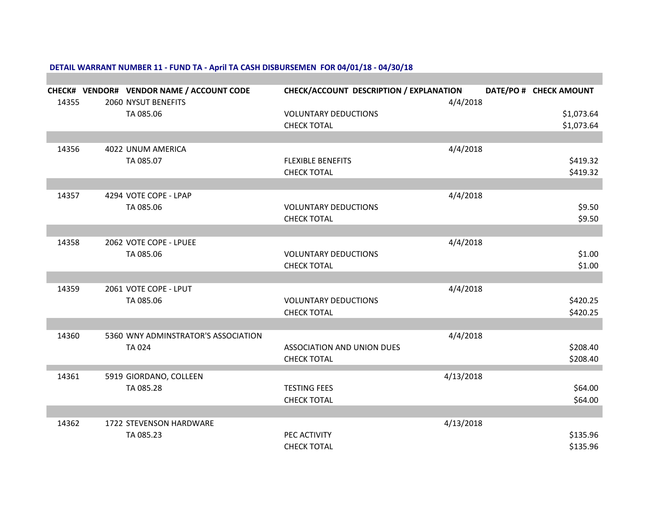|       | CHECK# VENDOR# VENDOR NAME / ACCOUNT CODE | CHECK/ACCOUNT DESCRIPTION / EXPLANATION |           | DATE/PO # CHECK AMOUNT |
|-------|-------------------------------------------|-----------------------------------------|-----------|------------------------|
| 14355 | 2060 NYSUT BENEFITS                       |                                         | 4/4/2018  |                        |
|       | TA 085.06                                 | <b>VOLUNTARY DEDUCTIONS</b>             |           | \$1,073.64             |
|       |                                           | <b>CHECK TOTAL</b>                      |           | \$1,073.64             |
|       |                                           |                                         |           |                        |
| 14356 | 4022 UNUM AMERICA                         |                                         | 4/4/2018  |                        |
|       | TA 085.07                                 | <b>FLEXIBLE BENEFITS</b>                |           | \$419.32               |
|       |                                           | <b>CHECK TOTAL</b>                      |           | \$419.32               |
|       |                                           |                                         |           |                        |
| 14357 | 4294 VOTE COPE - LPAP                     |                                         | 4/4/2018  |                        |
|       | TA 085.06                                 | <b>VOLUNTARY DEDUCTIONS</b>             |           | \$9.50                 |
|       |                                           | <b>CHECK TOTAL</b>                      |           | \$9.50                 |
|       |                                           |                                         |           |                        |
| 14358 | 2062 VOTE COPE - LPUEE                    |                                         | 4/4/2018  |                        |
|       | TA 085.06                                 | <b>VOLUNTARY DEDUCTIONS</b>             |           | \$1.00                 |
|       |                                           | <b>CHECK TOTAL</b>                      |           | \$1.00                 |
|       |                                           |                                         |           |                        |
| 14359 | 2061 VOTE COPE - LPUT                     |                                         | 4/4/2018  |                        |
|       | TA 085.06                                 | <b>VOLUNTARY DEDUCTIONS</b>             |           | \$420.25               |
|       |                                           | <b>CHECK TOTAL</b>                      |           | \$420.25               |
|       |                                           |                                         |           |                        |
| 14360 | 5360 WNY ADMINSTRATOR'S ASSOCIATION       |                                         | 4/4/2018  |                        |
|       | TA 024                                    | ASSOCIATION AND UNION DUES              |           | \$208.40               |
|       |                                           | <b>CHECK TOTAL</b>                      |           | \$208.40               |
| 14361 | 5919 GIORDANO, COLLEEN                    |                                         | 4/13/2018 |                        |
|       | TA 085.28                                 | <b>TESTING FEES</b>                     |           | \$64.00                |
|       |                                           |                                         |           |                        |
|       |                                           | <b>CHECK TOTAL</b>                      |           | \$64.00                |
|       |                                           |                                         |           |                        |
| 14362 | 1722 STEVENSON HARDWARE                   |                                         | 4/13/2018 |                        |
|       | TA 085.23                                 | PEC ACTIVITY                            |           | \$135.96               |
|       |                                           | <b>CHECK TOTAL</b>                      |           | \$135.96               |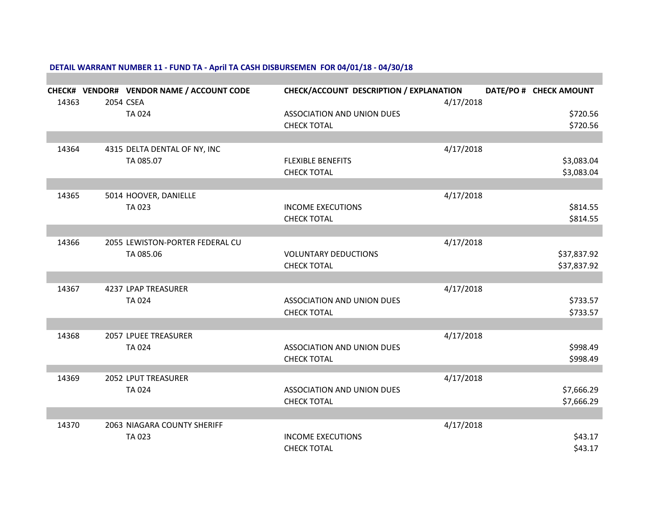| 14363 | CHECK# VENDOR# VENDOR NAME / ACCOUNT CODE<br>2054 CSEA | CHECK/ACCOUNT DESCRIPTION / EXPLANATION | 4/17/2018 | DATE/PO # CHECK AMOUNT |
|-------|--------------------------------------------------------|-----------------------------------------|-----------|------------------------|
|       | TA 024                                                 | <b>ASSOCIATION AND UNION DUES</b>       |           | \$720.56               |
|       |                                                        | <b>CHECK TOTAL</b>                      |           | \$720.56               |
|       |                                                        |                                         |           |                        |
| 14364 | 4315 DELTA DENTAL OF NY, INC                           |                                         | 4/17/2018 |                        |
|       | TA 085.07                                              | <b>FLEXIBLE BENEFITS</b>                |           | \$3,083.04             |
|       |                                                        | <b>CHECK TOTAL</b>                      |           | \$3,083.04             |
|       |                                                        |                                         |           |                        |
| 14365 | 5014 HOOVER, DANIELLE                                  |                                         | 4/17/2018 |                        |
|       | TA 023                                                 | <b>INCOME EXECUTIONS</b>                |           | \$814.55               |
|       |                                                        | <b>CHECK TOTAL</b>                      |           | \$814.55               |
|       |                                                        |                                         |           |                        |
| 14366 | 2055 LEWISTON-PORTER FEDERAL CU                        |                                         | 4/17/2018 |                        |
|       | TA 085.06                                              | <b>VOLUNTARY DEDUCTIONS</b>             |           | \$37,837.92            |
|       |                                                        |                                         |           |                        |
|       |                                                        | <b>CHECK TOTAL</b>                      |           | \$37,837.92            |
|       |                                                        |                                         |           |                        |
| 14367 | <b>4237 LPAP TREASURER</b>                             |                                         | 4/17/2018 |                        |
|       | <b>TA024</b>                                           | ASSOCIATION AND UNION DUES              |           | \$733.57               |
|       |                                                        | <b>CHECK TOTAL</b>                      |           | \$733.57               |
|       |                                                        |                                         |           |                        |
| 14368 | <b>2057 LPUEE TREASURER</b>                            |                                         | 4/17/2018 |                        |
|       | TA 024                                                 | <b>ASSOCIATION AND UNION DUES</b>       |           | \$998.49               |
|       |                                                        | <b>CHECK TOTAL</b>                      |           | \$998.49               |
| 14369 | 2052 LPUT TREASURER                                    |                                         | 4/17/2018 |                        |
|       | TA 024                                                 |                                         |           |                        |
|       |                                                        | <b>ASSOCIATION AND UNION DUES</b>       |           | \$7,666.29             |
|       |                                                        | <b>CHECK TOTAL</b>                      |           | \$7,666.29             |
|       |                                                        |                                         |           |                        |
| 14370 | 2063 NIAGARA COUNTY SHERIFF                            |                                         | 4/17/2018 |                        |
|       | TA 023                                                 | <b>INCOME EXECUTIONS</b>                |           | \$43.17                |
|       |                                                        | <b>CHECK TOTAL</b>                      |           | \$43.17                |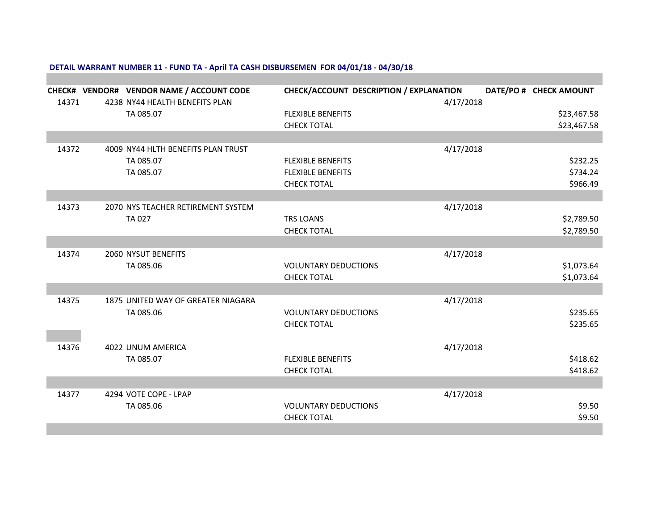| 14371 | CHECK# VENDOR# VENDOR NAME / ACCOUNT CODE<br>4238 NY44 HEALTH BENEFITS PLAN | CHECK/ACCOUNT DESCRIPTION / EXPLANATION | 4/17/2018 | DATE/PO # CHECK AMOUNT |
|-------|-----------------------------------------------------------------------------|-----------------------------------------|-----------|------------------------|
|       | TA 085.07                                                                   | <b>FLEXIBLE BENEFITS</b>                |           | \$23,467.58            |
|       |                                                                             | <b>CHECK TOTAL</b>                      |           | \$23,467.58            |
|       |                                                                             |                                         |           |                        |
| 14372 | 4009 NY44 HLTH BENEFITS PLAN TRUST                                          |                                         | 4/17/2018 |                        |
|       | TA 085.07                                                                   | <b>FLEXIBLE BENEFITS</b>                |           | \$232.25               |
|       | TA 085.07                                                                   | <b>FLEXIBLE BENEFITS</b>                |           | \$734.24               |
|       |                                                                             | <b>CHECK TOTAL</b>                      |           | \$966.49               |
|       |                                                                             |                                         |           |                        |
| 14373 | 2070 NYS TEACHER RETIREMENT SYSTEM                                          |                                         | 4/17/2018 |                        |
|       | TA 027                                                                      | <b>TRS LOANS</b>                        |           | \$2,789.50             |
|       |                                                                             | <b>CHECK TOTAL</b>                      |           | \$2,789.50             |
|       |                                                                             |                                         |           |                        |
| 14374 | 2060 NYSUT BENEFITS                                                         |                                         | 4/17/2018 |                        |
|       | TA 085.06                                                                   | <b>VOLUNTARY DEDUCTIONS</b>             |           | \$1,073.64             |
|       |                                                                             | <b>CHECK TOTAL</b>                      |           | \$1,073.64             |
|       |                                                                             |                                         |           |                        |
| 14375 | 1875 UNITED WAY OF GREATER NIAGARA                                          |                                         | 4/17/2018 |                        |
|       | TA 085.06                                                                   | <b>VOLUNTARY DEDUCTIONS</b>             |           | \$235.65               |
|       |                                                                             | <b>CHECK TOTAL</b>                      |           | \$235.65               |
|       |                                                                             |                                         |           |                        |
| 14376 | 4022 UNUM AMERICA                                                           |                                         | 4/17/2018 |                        |
|       | TA 085.07                                                                   | <b>FLEXIBLE BENEFITS</b>                |           | \$418.62               |
|       |                                                                             | <b>CHECK TOTAL</b>                      |           | \$418.62               |
|       |                                                                             |                                         |           |                        |
| 14377 | 4294 VOTE COPE - LPAP                                                       |                                         | 4/17/2018 |                        |
|       | TA 085.06                                                                   | <b>VOLUNTARY DEDUCTIONS</b>             |           | \$9.50                 |
|       |                                                                             | <b>CHECK TOTAL</b>                      |           | \$9.50                 |
|       |                                                                             |                                         |           |                        |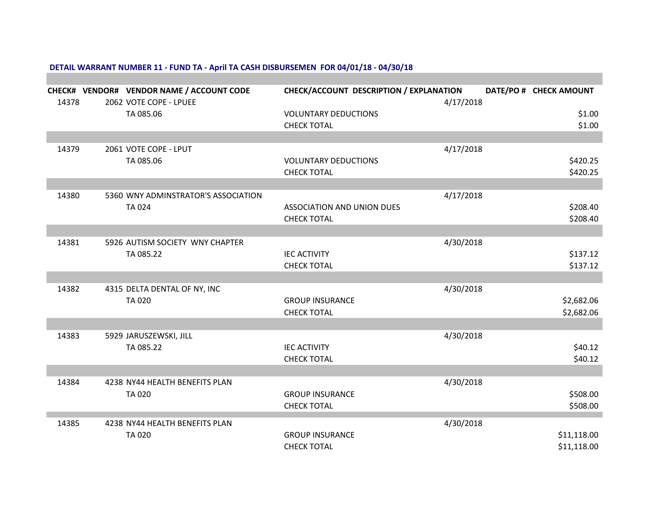|       | CHECK# VENDOR# VENDOR NAME / ACCOUNT CODE | CHECK/ACCOUNT DESCRIPTION / EXPLANATION |           | DATE/PO # CHECK AMOUNT |
|-------|-------------------------------------------|-----------------------------------------|-----------|------------------------|
| 14378 | 2062 VOTE COPE - LPUEE                    |                                         | 4/17/2018 |                        |
|       | TA 085.06                                 | <b>VOLUNTARY DEDUCTIONS</b>             |           | \$1.00                 |
|       |                                           | <b>CHECK TOTAL</b>                      |           | \$1.00                 |
|       |                                           |                                         |           |                        |
| 14379 | 2061 VOTE COPE - LPUT                     |                                         | 4/17/2018 |                        |
|       | TA 085.06                                 | <b>VOLUNTARY DEDUCTIONS</b>             |           | \$420.25               |
|       |                                           | <b>CHECK TOTAL</b>                      |           | \$420.25               |
|       |                                           |                                         |           |                        |
| 14380 | 5360 WNY ADMINSTRATOR'S ASSOCIATION       |                                         | 4/17/2018 |                        |
|       | TA 024                                    | <b>ASSOCIATION AND UNION DUES</b>       |           | \$208.40               |
|       |                                           | <b>CHECK TOTAL</b>                      |           | \$208.40               |
|       |                                           |                                         |           |                        |
| 14381 | 5926 AUTISM SOCIETY WNY CHAPTER           |                                         | 4/30/2018 |                        |
|       | TA 085.22                                 | <b>IEC ACTIVITY</b>                     |           | \$137.12               |
|       |                                           | <b>CHECK TOTAL</b>                      |           | \$137.12               |
|       |                                           |                                         |           |                        |
| 14382 | 4315 DELTA DENTAL OF NY, INC              |                                         | 4/30/2018 |                        |
|       | <b>TA020</b>                              | <b>GROUP INSURANCE</b>                  |           | \$2,682.06             |
|       |                                           | <b>CHECK TOTAL</b>                      |           | \$2,682.06             |
|       |                                           |                                         |           |                        |
| 14383 | 5929 JARUSZEWSKI, JILL                    |                                         | 4/30/2018 |                        |
|       | TA 085.22                                 | <b>IEC ACTIVITY</b>                     |           | \$40.12                |
|       |                                           | <b>CHECK TOTAL</b>                      |           | \$40.12                |
|       |                                           |                                         |           |                        |
| 14384 | 4238 NY44 HEALTH BENEFITS PLAN            |                                         | 4/30/2018 |                        |
|       | <b>TA020</b>                              | <b>GROUP INSURANCE</b>                  |           | \$508.00               |
|       |                                           | <b>CHECK TOTAL</b>                      |           | \$508.00               |
| 14385 | 4238 NY44 HEALTH BENEFITS PLAN            |                                         | 4/30/2018 |                        |
|       | <b>TA020</b>                              | <b>GROUP INSURANCE</b>                  |           | \$11,118.00            |
|       |                                           | <b>CHECK TOTAL</b>                      |           | \$11,118.00            |
|       |                                           |                                         |           |                        |